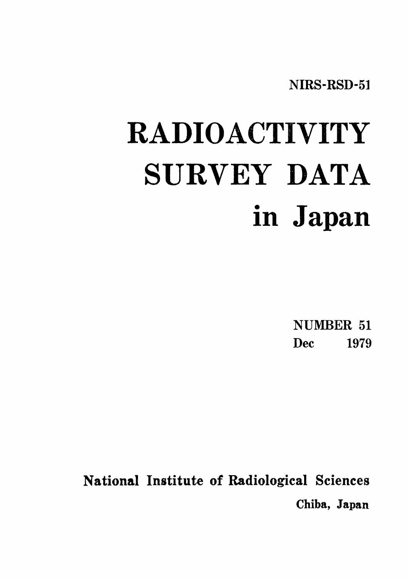NIRS-RSD-51

# RADIOACTIVITY SURVEY DATA in Japan

**NUMBER 51 Dec** 1979

National Institute of Radiological Sciences Chiba, Japan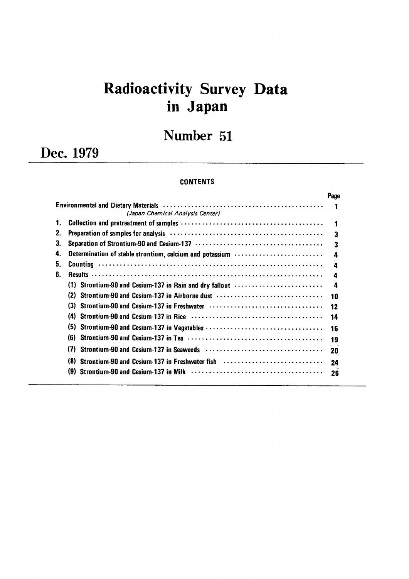# Radioactivity Survey Data inJapan

# Number 51

Dec.1979

#### **CONTENTS**

|    |                                                                                                                                                                                                                                                                    | Page |
|----|--------------------------------------------------------------------------------------------------------------------------------------------------------------------------------------------------------------------------------------------------------------------|------|
|    | Environmental and Dietary Materials (and the context of the context of the context of the context of the context of the context of the context of the context of the context of the context of the context of the context of t<br>(Japan Chemical Analysis Center) |      |
| 1. |                                                                                                                                                                                                                                                                    |      |
| 2. | Preparation of samples for analysis (all contained contained and contained and separation of samples                                                                                                                                                               | 3    |
| 3. |                                                                                                                                                                                                                                                                    | 3    |
| 4. | Determination of stable strontium, calcium and potassium                                                                                                                                                                                                           | 4    |
| 5. |                                                                                                                                                                                                                                                                    | 4    |
| 6. |                                                                                                                                                                                                                                                                    | 4    |
|    | (1) Strontium-90 and Cesium-137 in Rain and dry fallout                                                                                                                                                                                                            | 4    |
|    | (2)<br>Strontium-90 and Cesium-137 in Airborne dust                                                                                                                                                                                                                | 10   |
|    | (3)                                                                                                                                                                                                                                                                | 12   |
|    | Strontium-90 and Cesium-137 in Rice (and the content of the content of the Strontium-90 and Cesium-137 in Rice (b)<br>(4)                                                                                                                                          | 14   |
|    | (5)                                                                                                                                                                                                                                                                | 16   |
|    | (6)                                                                                                                                                                                                                                                                | 19   |
|    | (7)                                                                                                                                                                                                                                                                |      |
|    |                                                                                                                                                                                                                                                                    | 20   |
|    | (8)<br>Strontium-90 and Cesium-137 in Freshwater fish                                                                                                                                                                                                              | 24   |
|    | (9)                                                                                                                                                                                                                                                                | 26   |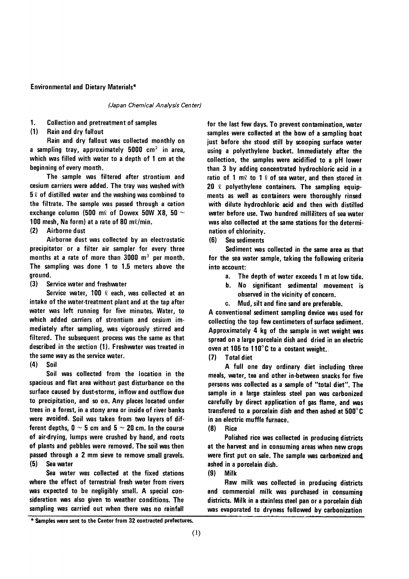#### **Environmental and Dietary Materials\***

(Japan Chemical Analysis Center)

1. **Collection and pretreatment of samples** 

 $(1)$ Rain and dry fallout

Rain and dry fallout was collected monthly on a sampling tray, approximately  $5000 \text{ cm}^2$  in area, which was filled with water to a depth of 1 cm at the beginning of every month.

The sample was filtered after strontium and cesium carriers were added. The tray was washed with  $5\ell$  of distilled water and the washing was combined to the filtrate. The sample was passed through a cation exchange column (500 m $\ell$  of Dowex 50W X8, 50  $\sim$ 100 mesh, Na form) at a rate of 80 ml/min.

Airborne dust  $(2)$ 

Airborne dust was collected by an electrostatic precipitator or a filter air sampler for every three months at a rate of more than  $3000 \, \text{m}^3$  per month. The sampling was done 1 to 1.5 meters above the ground.

 $(3)$ Service water and freshwater

Service water, 100 2 each, was collected at an intake of the water-treatment plant and at the tap after water was left running for five minutes. Water, to which added carriers of strontium and cesium immediately after sampling, was vigorously stirred and filtered. The subsequent process was the same as that described in the section (1). Freshwater was treated in the same way as the service water.

 $(4)$ Soil

Soil was collected from the location in the spacious and flat area without past disturbance on the surface caused by dust-storms, inflow and outflow due to precipitation, and so on. Any places located under trees in a forest, in a stony area or inside of river banks were avoided. Soil was taken from two layers of different depths,  $0 \sim 5$  cm and  $5 \sim 20$  cm. In the course of air-drying, lumps were crushed by hand, and roots of plants and pebbles were removed. The soil was then passed through a 2 mm sieve to remove small gravels.  $(5)$ Sea water

Sea water was collected at the fixed stations where the effect of terrestrial fresh water from rivers was expected to be negligibly small. A special consideration was also given to weather conditions. The sampling was carried out when there was no rainfall

for the last few days. To prevent contamination, water samples were collected at the bow of a sampling boat just before she stood still by scooping surface water using a polyethylene bucket. Immediately after the collection, the samples were acidified to a pH lower than 3 by adding concentrated hydrochloric acid in a ratio of 1 m $\ell$  to 1  $\ell$  of sea water, and then stored in 20  $\ell$  polyethylene containers. The sampling equipments as well as containers were thoroughly rinsed with dilute hydrochloric acid and then with distilled water before use. Two hundred milliliters of sea water was also collected at the same stations for the determination of chlorinity.

(6) Sea sediments

Sediment was collected in the same area as that for the sea water sample, taking the following criteria into account:

- The depth of water exceeds 1 m at low tide.  $a_{-}$
- No significant sedimental movement is b. observed in the vicinity of concern.
- Mud, silt and fine sand are preferable. C.

A conventional sediment sampling device was used for collecting the top few centimeters of surface sediment. Approximately 4 kg of the sample in wet weight was spread on a large porcelain dish and dried in an electric oven at 105 to 110°C to a costant weight.

 $(7)$ **Total diet** 

A full one day ordinary diet including three meals, water, tea and other in-between snacks for five persons was collected as a sample of "total diet". The sample in a large stainless steel pan was carbonized carefully by direct application of gas flame, and was transfered to a porcelain dish and then ashed at 500°C in an electric muffle furnace.

 $(8)$ Rice

Polished rice was collected in producing districts at the harvest and in consuming areas when new crops were first put on sale. The sample was carbonized and ashed in a porcelain dish.

 $(9)$ **Milk** 

Raw milk was collected in producing districts and commercial milk was purchased in consuming districts. Milk in a stainless steel pan or a porcelain dish was evaporated to dryness followed by carbonization

\* Samples were sent to the Center from 32 contracted prefectures.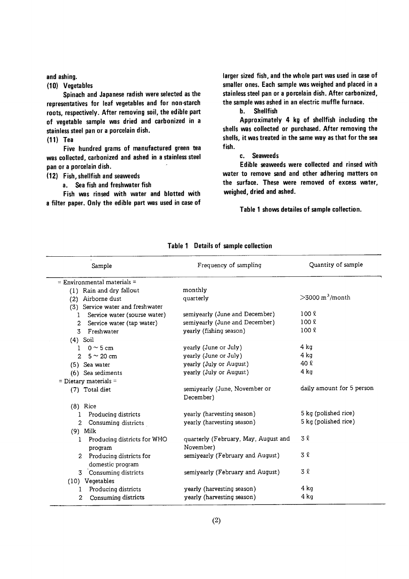and ashing.

(10) Vegetables

Spinach and Japanese radish were selected as the representatives for leaf vegetables and for non-starch roots, respectively. After removing soil, the edible part of vegetable sample was dried and carbonized in a stainless steel pan or a porcelain dish.

 $(11)$  Tea

Five hundred grams of manufactured green tea was collected, carbonized and ashed in a stainless steel pan or a porcelain dish.

(12) Fish, shellfish and seaweeds

a. Sea fish and freshwater fish

Fish was rinsed with water and blotted with a filter paper. Only the edible part was used in case of larger sized fish, and the whole part was used in case of smaller ones. Each sample was weighed and placed in a stainless steel pan or a porcelain dish. After carbonized, the sample was ashed in an electric muffle furnace.

#### $h_{-}$ **Shellfish**

Approximately 4 kg of shellfish including the shells was collected or purchased. After removing the shells, it was treated in the same way as that for the sea fish.

#### c. Seaweeds

Edible seaweeds were collected and rinsed with water to remove sand and other adhering matters on the surface. These were removed of excess water, weighed, dried and ashed.

Table 1 shows detailes of sample collection.

| Sample                                        | Frequency of sampling                      | Quantity of sample             |
|-----------------------------------------------|--------------------------------------------|--------------------------------|
| $=$ Environmental materials $=$               |                                            |                                |
| (1) Rain and dry fallout                      | monthly                                    |                                |
| (2) Airborne dust                             | quarterly                                  | $>$ 3000 m <sup>3</sup> /month |
| (3) Service water and freshwater              |                                            |                                |
| Service water (sourse water)<br>1             | semiyearly (June and December)             | $100 \ell$                     |
| 2 Service water (tap water)                   | semiyearly (June and December)             | $100 \ell$                     |
| Freshwater<br>3.                              | yearly (fishing season)                    | $100 \ell$                     |
| $(4)$ Soil                                    |                                            |                                |
| 1 0 $\sim$ 5 cm                               | yearly (June or July)                      | $4$ kg                         |
| 2 $5 \sim 20$ cm                              | yearly (June or July)                      | 4 ka                           |
| (5) Sea water                                 | yearly (July or August)                    | 40 l                           |
| (6) Sea sediments                             | yearly (July or August)                    | $4$ kg                         |
| $=$ Dietary materials $=$                     |                                            |                                |
| (7) Total diet                                | semiyearly (June, November or<br>December) | daily amount for 5 person      |
| $(8)$ Rice                                    |                                            |                                |
| Producing districts                           | yearly (harvesting season)                 | 5 kg (polished rice)           |
| Consuming districts<br>$\overline{2}$         | yearly (harvesting season)                 | 5 kg (polished rice)           |
| $(9)$ Milk                                    |                                            |                                |
| Producing districts for WHO<br>1              | quarterly (February, May, August and       | 3 R                            |
| program                                       | November)                                  |                                |
| 2 Producing districts for<br>domestic program | semiyearly (February and August)           | 3 l                            |
| 3 Consuming districts                         | semiyearly (February and August)           | 3 l                            |
| (10) Vegetables                               |                                            |                                |
| Producing districts<br>1                      | yearly (harvesting season)                 | 4 kg                           |
| Consuming districts<br>2                      | yearly (harvesting season)                 | 4 kg                           |

#### Table 1 Details of sample collection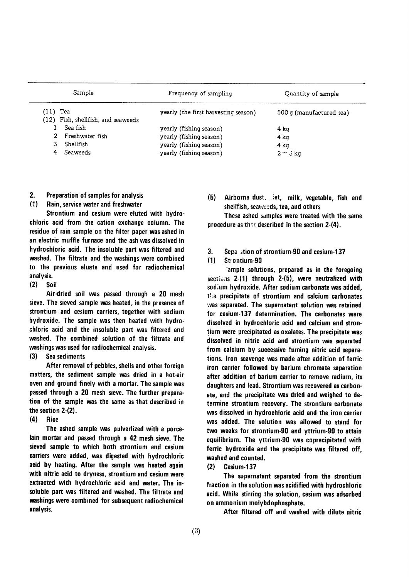| Sample                                         | Frequency of sampling                | Quantity of sample       |
|------------------------------------------------|--------------------------------------|--------------------------|
| (11) Tea<br>(12) Fish, shellfish, and seaweeds | yearly (the first harvesting season) | 500 g (manufactured tea) |
| Sea fish                                       | yearly (fishing season)              | 4 ka                     |
| Freshwater fish                                | yearly (fishing season)              | 4 kg                     |
| Shellfish                                      | yearly (fishing season)              | 4 ka                     |
| <b>Seaweeds</b>                                | yearly (fishing season)              | $2 \sim 3$ kg            |

- $2.$ Preparation of samples for analysis
- $(1)$ Rain, service water and freshwater

Strontium and cesium were eluted with hydrochloric acid from the cation exchange column. The residue of rain sample on the filter paper was ashed in an electric muffle furnace and the ash was dissolved in hydrochloric acid. The insoluble part was filtered and washed. The filtrate and the washings were combined to the previous eluate and used for radiochemical analysis.

Soil  $(2)$ 

Air-dried soil was passed through a 20 mesh sieve. The sieved sample was heated, in the presence of strontium and cesium carriers, together with sodium hydroxide. The sample was then heated with hydrochloric acid and the insoluble part was filtered and washed. The combined solution of the filtrate and washings was used for radiochemical analysis.

 $(3)$ Sea sediments

After removal of pebbles, shells and other foreign matters, the sediment sample was dried in a hot-air oven and ground finely with a mortar. The sample was passed through a 20 mesh sieve. The further preparation of the sample was the same as that described in the section 2-(2).

 $(4)$ Rice

The ashed sample was pulverlized with a porcelain mortar and passed through a 42 mesh sieve. The sieved sample to which both strontium and cesium carriers were added, was digested with hydrochloric acid by heating. After the sample was heated again with nitric acid to dryness, strontium and cesium were extracted with hydrochloric acid and water. The insoluble part was filtered and washed. The filtrate and washings were combined for subsequent radiochemical analysis.

Airborne dust, .iet, milk, vegetable, fish and  $(5)$ shellfish, seaweeds, tea, and others

These ashed samples were treated with the same procedure as that described in the section 2-(4).

 $3.$ Sepantion of strontium-90 and cesium-137

#### $(1)$ Strontium-90

ample solutions, prepared as in the foregoing sections  $2-(1)$  through  $2-(5)$ , were neutralized with sodium hydroxide. After sodium carbonate was added, the precipitate of strontium and calcium carbonates was separated. The supernatant solution was retained for cesium-137 determination. The carbonates were dissolved in hydrochloric acid and calcium and strontium were precipitated as oxalates. The precipitate was dissolved in nitric acid and strontium was separated from calcium by successive fuming nitric acid separations. Iron scavenge was made after addition of ferric iron carrier followed by barium chromate separation after addition of barium carrier to remove radium, its daughters and lead. Strontium was recovered as carbonate, and the precipitate was dried and weighed to determine strontium recovery. The strontium carbonate was dissolved in hydrochloric acid and the iron carrier was added. The solution was allowed to stand for two weeks for strontium-90 and yttrium-90 to attain equilibrium. The yttrium-90 was coprecipitated with ferric hydroxide and the precipitate was filtered off, washed and counted.

 $(2)$ Cesium-137

The supernatant separated from the strontium fraction in the solution was acidified with hydrochloric acid. While stirring the solution, cesium was adsorbed on ammonium molybdophosphate.

After filtered off and washed with dilute nitric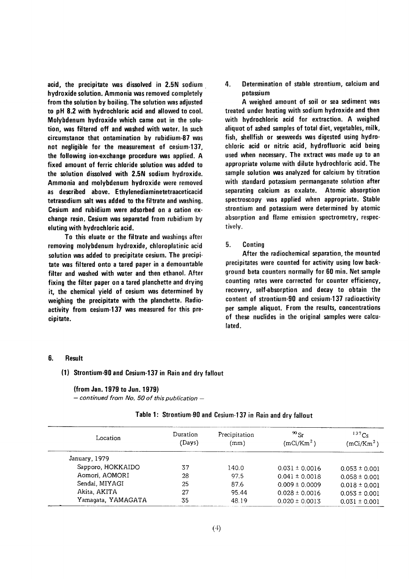acid, the precipitate was dissolved in 2.5N sodium hydroxide solution. Ammonia was removed completely from the solution by boiling. The solution was adjusted to pH 8.2 with hydrochloric acid and allowed to cool. Molybdenum hydroxide which came out in the solution, was filtered off and washed with water. In such circumstance that ontamination by rubidium-87 was not negligible for the measurement of cesium-137, the following ion-exchange procedure was applied. A fixed amount of ferric chloride solution was added to the solution dissolved with 2.5N sodium hydroxide. Ammonia and molybdenum hydroxide were removed as described above. Ethylenediaminetetraaceticacid tetrasodium salt was added to the filtrate and washing. Cesium and rubidium were adsorbed on a cation exchange resin. Cesium was separated from rubidium by eluting with hydrochloric acid.

To this eluate or the filtrate and washings after removing molybdenum hydroxide, chloroplatinic acid solution was added to precipitate cesium. The precipitate was filtered onto a tared paper in a demountable filter and washed with water and then ethanol. After fixing the filter paper on a tared planchette and drying it, the chemical yield of cesium was determined by weighing the precipitate with the planchette. Radioactivity from cesium-137 was measured for this precipitate.

Determination of stable strontium, calcium and 4. potassium

A weighed amount of soil or sea sediment was treated under heating with sodium hydroxide and then with hydrochloric acid for extraction. A weighed aliquot of ashed samples of total diet, vegetables, milk, fish, shellfish or seeweeds was digested using hydrochloric acid or nitric acid, hydrofluoric acid being used when necessary. The extract was made up to an appropriate volume with dilute hydrochloric acid. The sample solution was analyzed for calcium by titration with standard potassium permanganate solution after separating calcium as oxalate. Atomic absorption spectroscopy was applied when appropriate. Stable strontium and potassium were determined by atomic absorption and flame emission spectrometry, respectively.

#### 5. Conting

After the radiochemical separation, the mounted precipitates were counted for activity using low background beta counters normally for 60 min. Net sample counting rates were corrected for counter efficiency, recovery, self-absorption and decay to obtain the content of strontium-90 and cesium-137 radioactivity per sample aliquot. From the results, concentrations of these nuclides in the original samples were calculated.

#### 6. **Result**

(1) Strontium-90 and Cesium-137 in Rain and dry fallout

#### (from Jan. 1979 to Jun. 1979)

 $-$  continued from No. 50 of this publication  $-$ 

| Location           | Duration<br>(Days) | Precipitation<br>(mm) | $^{90}$ Sr<br>(mCi/Km <sup>2</sup> ) | $137C_S$<br>(mCi/Km <sup>2</sup> ) |
|--------------------|--------------------|-----------------------|--------------------------------------|------------------------------------|
| January, 1979      |                    |                       |                                      |                                    |
| Sapporo, HOKKAIDO  | 37                 | 140.0                 | $0.031 \pm 0.0016$                   | $0.053 \pm 0.001$                  |
| Aomori, AOMORI     | 28                 | 97.5                  | $0.041 \pm 0.0018$                   | $0.058 \pm 0.001$                  |
| Sendai, MIYAGI     | 25                 | 87.6                  | $0.009 \pm 0.0009$                   | $0.018 \pm 0.001$                  |
| Akita, AKITA       | 27                 | 95.44                 | $0.028 \pm 0.0016$                   | $0.053 \pm 0.001$                  |
| Yamaqata, YAMAGATA | 35                 | 48.19                 | $0.020 \pm 0.0013$                   | $0.031 \pm 0.001$                  |

#### Table 1: Strontium-90 and Cesium-137 in Rain and dry fallout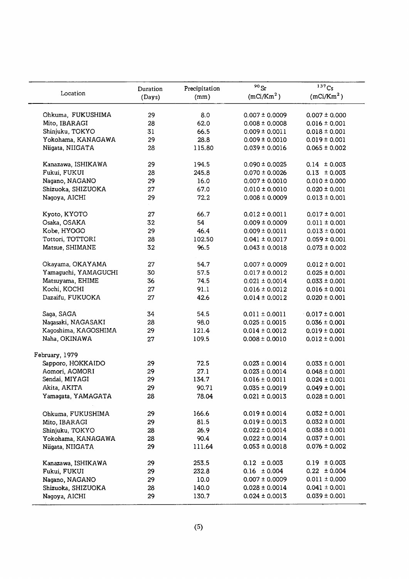|                                     | Duration | Precipitation | $90$ Sr                                  | $137C_S$               |
|-------------------------------------|----------|---------------|------------------------------------------|------------------------|
| Location                            | (Days)   | (mm)          | (mCi/Km <sup>2</sup> )                   | (mCi/Km <sup>2</sup> ) |
| Ohkuma, FUKUSHIMA                   | 29       | 8.0           | $0.007 \pm 0.0009$                       | $0.007 \pm 0.000$      |
| Mito, IBARAGI                       | 28       | 62.0          | $0.008 \pm 0.0008$                       | $0.016 \pm 0.001$      |
| Shinjuku, TOKYO                     | 31       | 66.5          | $0.009 \pm 0.0011$                       | $0.018 \pm 0.001$      |
| Yokohama, KANAGAWA                  | 29       | 28.8          | $0.009 \pm 0.0010$                       | $0.019 \pm 0.001$      |
| Niigata, NIIGATA                    | 28       | 115.80        | $0.039 \pm 0.0016$                       | $0.065 \pm 0.002$      |
|                                     |          |               |                                          |                        |
| Kanazawa, ISHIKAWA                  | 29       | 194.5         | $0.090 \pm 0.0025$                       | $0.14 \pm 0.003$       |
| Fukui, FUKUI                        | 28       | 245.8         | $0.070 \pm 0.0026$                       | $0.13 \pm 0.003$       |
| Nagano, NAGANO                      | 29       | 16.0          | $0.007 \pm 0.0010$                       | $0.010 \pm 0.000$      |
| Shizuoka, SHIZUOKA                  | 27       | 67.0          | $0.010 \pm 0.0010$                       | $0.020 \pm 0.001$      |
| Nagoya, AICHI                       | 29       | 72.2          | $0.008 \pm 0.0009$                       | $0.013 \pm 0.001$      |
| Kyoto, KYOTO                        | 27       | 66.7          | $0.012 \pm 0.0011$                       | $0.017 \pm 0.001$      |
| Osaka, OSAKA                        | 32       | 54            | $0.009 \pm 0.0009$                       | $0.011 \pm 0.001$      |
| Kobe, HYOGO                         | 29       | 46.4          | $0.009 \pm 0.0011$                       | $0.013 \pm 0.001$      |
| Tottori, TOTTORI                    | 28       | 102.50        | $0.041 \pm 0.0017$                       | $0.059 \pm 0.001$      |
| Matsue, SHIMANE                     | 32       | 96.5          | $0.043 \pm 0.0018$                       | $0.073 \pm 0.002$      |
|                                     |          |               |                                          |                        |
| Okayama, OKAYAMA                    | 27       | 54.7          | $0.007 \pm 0.0009$                       | $0.012 \pm 0.001$      |
| Yamaguchi, YAMAGUCHI                | 30       | 57.5          | $0.017 \pm 0.0012$                       | $0.025 \pm 0.001$      |
| Matsuyama, EHIME                    | 36       | 74.5          | $0.021 \pm 0.0014$                       | $0.033 \pm 0.001$      |
| Kochi, KOCHI                        | 27       | 91.1          | $0.016 \pm 0.0012$                       | $0.016 \pm 0.001$      |
| Dazaifu, FUKUOKA                    | 27       | 42.6          | $0.014 \pm 0.0012$                       | $0.020 \pm 0.001$      |
| Saga, SAGA                          | 34       | 54.5          | $0.011 \pm 0.0011$                       | $-0.017 \pm 0.001$     |
| Nagasaki, NAGASAKI                  | 28       | 98.0          | $0.025 \pm 0.0015$                       | $0.036 \pm 0.001$      |
| Kagoshima, KAGOSHIMA                | 29       | 121.4         | $0.014 \pm 0.0012$                       | $0.019 \pm 0.001$      |
| Naha, OKINAWA                       | 27       | 109.5         | $0.008 \pm 0.0010$                       | $0.012 \pm 0.001$      |
|                                     |          |               |                                          |                        |
| February, 1979<br>Sapporo, HOKKAIDO |          |               |                                          |                        |
| Aomori, AOMORI                      | 29<br>29 | 72.5          | $0.023 \pm 0.0014$<br>$0.023 \pm 0.0014$ | $0.033 \pm 0.001$      |
| Sendai, MIYAGI                      | 29       | 27.1<br>134.7 | $0.016 \pm 0.0011$                       | $0.048 \pm 0.001$      |
| Akita, AKITA                        |          |               |                                          | $0.024 \pm 0.001$      |
|                                     | 29       | 90.71         | $0.035 \pm 0.0019$                       | $0.049 \pm 0.001$      |
| Yamagata, YAMAGATA                  | 28       | 78.04         | $0.021 \pm 0.0013$                       | $0.028 \pm 0.001$      |
| Ohkuma, FUKUSHIMA                   | 29       | 166.6         | $0.019 \pm 0.0014$                       | $0.032 \pm 0.001$      |
| Mito, IBARAGI                       | 29       | 81.5          | $0.019 \pm 0.0013$                       | $0.032 \pm 0.001$      |
| Shinjuku, TOKYO                     | 28       | 26.9          | $0.022 \pm 0.0014$                       | $0.038 \pm 0.001$      |
| Yokohama, KANAGAWA                  | 28       | 90.4          | $0.022 \pm 0.0014$                       | $0.037 \pm 0.001$      |
| Niigata, NIIGATA                    | 29       | 111.64        | $0.053 \pm 0.0018$                       | $0.076 \pm 0.002$      |
| Kanazawa, ISHIKAWA                  | 29       | 253.5         | $0.12 \pm 0.003$                         | $0.19 \pm 0.003$       |
| Fukui, FUKUI                        | 29       | 232.8         | $0.16 \pm 0.004$                         | $0.22 \pm 0.004$       |
| Nagano, NAGANO                      | 29       | 10.0          | $0.007 \pm 0.0009$                       | $0.011 \pm 0.000$      |
| Shizuoka, SHIZUOKA                  | 28       | 140.0         | $0.028 \pm 0.0014$                       | $0.041 \pm 0.001$      |
| Nagoya, AICHI                       | 29       | 130.7         | $0.024 \pm 0.0013$                       | $0.039 \pm 0.001$      |
|                                     |          |               |                                          |                        |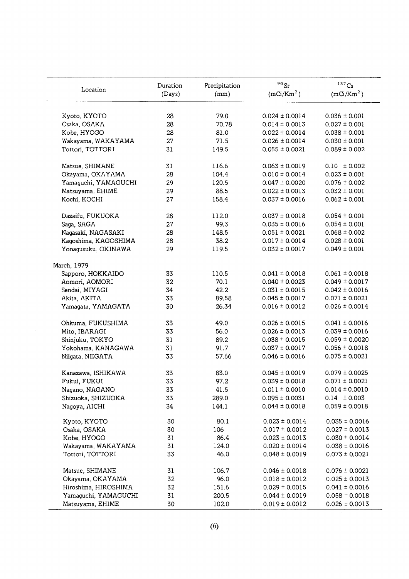| Location             | Duration<br>(Days) | Precipitation<br>(mm) | $90$ Sr<br>(mCi/Km <sup>2</sup> ) | 137C <sub>S</sub><br>(mCi/Km <sup>2</sup> ) |
|----------------------|--------------------|-----------------------|-----------------------------------|---------------------------------------------|
|                      |                    |                       |                                   |                                             |
| Kyoto, KYOTO         | 28                 | 79.0                  | $0.024 \pm 0.0014$                | $0.036 \pm 0.001$                           |
| Osaka, OSAKA         | 28                 | 70.78                 | $0.014 \pm 0.0013$                | $0.027 \pm 0.001$                           |
| Kobe, HYOGO          | 28                 | 81.0                  | $0.022 \pm 0.0014$                | $0.038 \pm 0.001$                           |
| Wakayama, WAKAYAMA   | 27                 | 71.5                  | $0.026 \pm 0.0014$                | $0.030 \pm 0.001$                           |
| Tottori, TOTTORI     | 31                 | 149.5                 | $0.055 \pm 0.0021$                | $0.089 \pm 0.002$                           |
| Matsue, SHIMANE      | 31                 | 116.6                 | $0.063 \pm 0.0019$                | $0.10 \pm 0.002$                            |
| Okayama, OKAYAMA     | 28                 | 104.4                 | $0.010 \pm 0.0014$                | $0.023 \pm 0.001$                           |
| Yamaguchi, YAMAGUCHI | 29                 | 120.5                 | $0.047 \pm 0.0020$                | $0.076 \pm 0.002$                           |
| Matsuyama, EHIME     | 29                 | 88.5                  | $0.022 \pm 0.0013$                | $0.032 \pm 0.001$                           |
| Kochi, KOCHI         | 27                 | 158.4                 | $0.037 \pm 0.0016$                | $0.062 \pm 0.001$                           |
| Dazaifu, FUKUOKA     | 28                 | 112.0                 | $0.037 \pm 0.0018$                | $0.054 \pm 0.001$                           |
| Saga, SAGA           | 27                 | 99.3                  | $0.035 \pm 0.0016$                | $0.054 \pm 0.001$                           |
| Nagasaki, NAGASAKI   | 28                 | 148.5                 | $0.051 \pm 0.0021$                | $0.068 \pm 0.002$                           |
| Kagoshima, KAGOSHIMA | 28                 | 38.2                  | $0.017 \pm 0.0014$                | $0.028 \pm 0.001$                           |
| Yonagusuku, OKINAWA  | 29                 | 119.5                 | $0.032 \pm 0.0017$                | $0.049 \pm 0.001$                           |
| March, 1979          |                    |                       |                                   |                                             |
| Sapporo, HOKKAIDO    | 33                 | 110.5                 | $0.041 \pm 0.0018$                | $0.061 \pm 0.0018$                          |
| Aomori, AOMORI       | 32                 | 70.1                  | $0.040 \pm 0.0023$                | $0.049 \pm 0.0017$                          |
| Sendai, MIYAGI       | 34                 | 42.2                  | $0.031 \pm 0.0015$                | $0.042 \pm 0.0016$                          |
| Akita, AKITA         | 33                 | 89.58                 | $0.045 \pm 0.0017$                | $0.071 \pm 0.0021$                          |
| Yamagata, YAMAGATA   | 30                 | 26.34                 | $0.016 \pm 0.0012$                | $0.026 \pm 0.0014$                          |
| Ohkuma, FUKUSHIMA    | 33                 | 49.0                  | $0.026 \pm 0.0015$                | $0.041 \pm 0.0016$                          |
| Mito, IBARAGI        | 33                 | 56.0                  | $0.026 \pm 0.0013$                | $0.039 \pm 0.0016$                          |
| Shinjuku, TOKYO      | 31                 | 89.2                  | $0.038 \pm 0.0015$                | $0.059 \pm 0.0020$                          |
| Yokohama, KANAGAWA   | 31                 | 91.7                  | $0.037 \pm 0.0017$                | $0.056 \pm 0.0018$                          |
| Niigata, NIIGATA     | 33                 | 57.66                 | $0.046 \pm 0.0016$                | $0.075 \pm 0.0021$                          |
| Kanazawa, ISHIKAWA   | 33                 | 83.0                  | $0.045 \pm 0.0019$                | $0.079 \pm 0.0025$                          |
| Fukui, FUKUI         | 33                 | 97.2                  | $0.039 \pm 0.0018$                | $0.071 \pm 0.0021$                          |
| Nagano, NAGANO       | 33                 | 41.5                  | $0.011 \pm 0.0010$                | $0.014 \pm 0.0010$                          |
| Shizuoka, SHIZUOKA   | 33                 | 289.0                 | $0.095 \pm 0.0031$                | $0.14 \pm 0.003$                            |
| Nagoya, AICHI        | 34                 | 144.1                 | $0.044 \pm 0.0018$                | $0.059 \pm 0.0018$                          |
| Kyoto, KYOTO         | 30                 | 80.1                  | $0.023 \pm 0.0014$                | $0.035 \pm 0.0016$                          |
| Osaka, OSAKA         | 30                 | 106                   | $0.017 \pm 0.0012$                | $0.027 \pm 0.0013$                          |
| Kobe, HYOGO          | 31                 | 86.4                  | $0.023 \pm 0.0013$                | $0.030 \pm 0.0014$                          |
| Wakayama, WAKAYAMA   | 31                 | 124.0                 | $0.020 \pm 0.0014$                | $0.038 \pm 0.0016$                          |
| Tottori, TOTTORI     | 33                 | 46.0                  | $0.048 \pm 0.0019$                | $0.073 \pm 0.0021$                          |
| Matsue, SHIMANE      | 31                 | 106.7                 | $0.046 \pm 0.0018$                | $0.076 \pm 0.0021$                          |
| Okayama, OKAYAMA     | 32                 | 96.0                  | $0.018 \pm 0.0012$                | $0.025 \pm 0.0013$                          |
| Hiroshima, HIROSHIMA | 32                 | 151.6                 | $0.029 \pm 0.0015$                | $0.041 \pm 0.0016$                          |
| Yamaguchi, YAMAGUCHI | 31                 | 200.5                 | $0.044 \pm 0.0019$                | $0.058 \pm 0.0018$                          |
| Matsuyama, EHIME     | 30                 | 102.0                 | $0.019 \pm 0.0012$                | $0.026 \pm 0.0013$                          |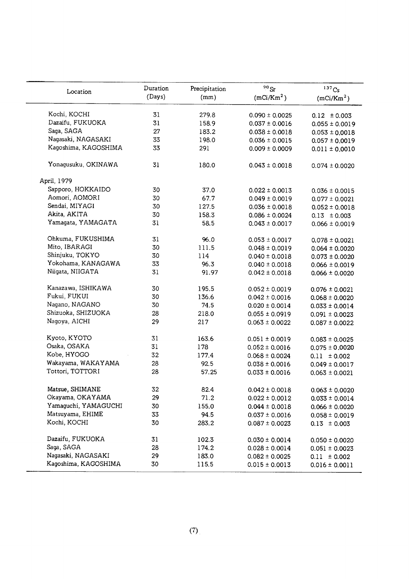|                      | Duration | Precipitation | $\rm ^{90}Sr$          | $137C_S$               |
|----------------------|----------|---------------|------------------------|------------------------|
| Location             | (Days)   | (mm)          | (mCi/Km <sup>2</sup> ) | (mCi/Km <sup>2</sup> ) |
|                      |          |               |                        |                        |
| Kochi, KOCHI         | 31       | 279.8         | $0.090 \pm 0.0025$     | $0.12 \pm 0.003$       |
| Dazaifu, FUKUOKA     | 31       | 158.9         | $0.037 \pm 0.0016$     | $0.055 \pm 0.0019$     |
| Saga, SAGA           | 27       | 183.2         | $0.038 \pm 0.0018$     | $0.053 \pm 0.0018$     |
| Nagasaki, NAGASAKI   | 33       | 198.0         | $0.036 \pm 0.0015$     | $0.057 \pm 0.0019$     |
| Kagoshima, KAGOSHIMA | 33       | 291           | $0.009 \pm 0.0009$     | $0.011 \pm 0.0010$     |
| Yonagusuku, OKINAWA  | 31       | 180.0         | $0.043 \pm 0.0018$     | $0.074 \pm 0.0020$     |
| April, 1979          |          |               |                        |                        |
| Sapporo, HOKKAIDO    | 30       | 37.0          | $0.022 \pm 0.0013$     | $0.036 \pm 0.0015$     |
| Aomori, AOMORI       | 30       | 67.7          | $0.049 \pm 0.0019$     | $0.077 \pm 0.0021$     |
| Sendai, MIYAGI       | 30       | 127.5         | $0.036 \pm 0.0018$     | $0.052 \pm 0.0018$     |
| Akita, AKITA         | 30       | 158.3         | $0.086 \pm 0.0024$     | $0.13 \pm 0.003$       |
| Yamagata, YAMAGATA   | 31       | 58.5          | $0.043 \pm 0.0017$     | $0.066 \pm 0.0019$     |
|                      |          |               |                        |                        |
| Ohkuma, FUKUSHIMA    | 31       | 96.0          | $0.053 \pm 0.0017$     | $0.078 \pm 0.0021$     |
| Mito, IBARAGI        | 30       | 111.5         | $0.048 \pm 0.0019$     | $0.064 \pm 0.0020$     |
| Shinjuku, TOKYO      | 30       | 114           | $0.040 \pm 0.0018$     | $0.073 \pm 0.0020$     |
| Yokohama, KANAGAWA   | 33       | 96.3          | $0.040 \pm 0.0018$     | $0.066 \pm 0.0019$     |
| Niigata, NIIGATA     | 31       | 91.97         | $0.042 \pm 0.0018$     | $0.066 \pm 0.0020$     |
|                      |          |               |                        |                        |
| Kanazawa, ISHIKAWA   | 30       | 195.5         | $0.052 \pm 0.0019$     | $0.076 \pm 0.0021$     |
| Fukui, FUKUI         | 30       | 136.6         | $0.042 \pm 0.0016$     | $0.068 \pm 0.0020$     |
| Nagano, NAGANO       | 30       | 74.5          | $0.020 \pm 0.0014$     | $0.033 \pm 0.0014$     |
| Shizuoka, SHIZUOKA   | 28       | 218.0         | $0.055 \pm 0.0919$     | $0.091 \pm 0.0023$     |
| Nagoya, AICHI        | 29       | 217           | $0.063 \pm 0.0022$     | $0.087 \pm 0.0022$     |
| Kyoto, KYOTO         | 31       | 163.6         | $0.051 \pm 0.0019$     | $0.083 \pm 0.0025$     |
| Osaka, OSAKA         | 31       | 178           | $0.052 \pm 0.0016$     | $0.075 \pm 0.0020$     |
| Kobe, HYOGO          | 32       | 177.4         | $0.068 \pm 0.0024$     | $0.11 \pm 0.002$       |
| Wakayama, WAKAYAMA   | 28       | 92.5          | $0.038 \pm 0.0016$     | $0.049 \pm 0.0017$     |
| Tottori, TOTTORI     | 28       | 57.25         | $0.033 \pm 0.0016$     | $0.063 \pm 0.0021$     |
|                      |          |               |                        |                        |
| Matsue, SHIMANE      | 32       | 82.4          | $0.042 \pm 0.0018$     | $0.063 \pm 0.0020$     |
| Okayama, OKAYAMA     | 29       | 71.2          | $0.022 \pm 0.0012$     | $0.033 \pm 0.0014$     |
| Yamaguchi, YAMAGUCHI | 30       | 155.0         | $0.044 \pm 0.0018$     | $0.066 \pm 0.0020$     |
| Matsuyama, EHIME     | 33       | 94.5          | $0.037 \pm 0.0016$     | $0.058 \pm 0.0019$     |
| Kochi, KOCHI         | 30       | 283.2         | $0.087 \pm 0.0023$     | $0.13 \pm 0.003$       |
| Dazaifu, FUKUOKA     | 31       | 102.3         | $0.030 \pm 0.0014$     | $0.050 \pm 0.0020$     |
| Saga, SAGA           | 28       | 174.2         | $0.028 \pm 0.0014$     | $0.051 \pm 0.0023$     |
| Nagasaki, NAGASAKI   | 29       | 183.0         | $0.082 \pm 0.0025$     | $0.11 \pm 0.002$       |
| Kagoshima, KAGOSHIMA | 30       | 115.5         | $0.015 \pm 0.0013$     | $0.016 \pm 0.0011$     |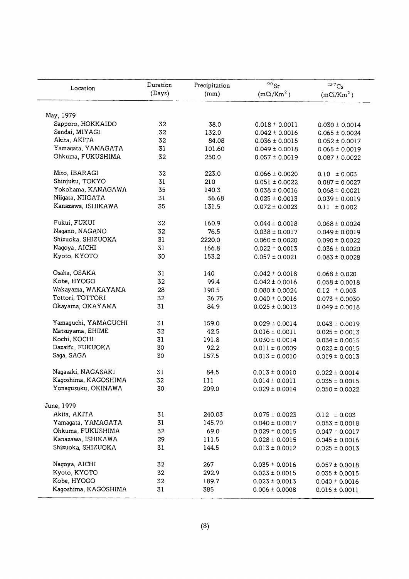| Location             | Duration | Precipitation | $90$ Sr                | $137C_S$               |
|----------------------|----------|---------------|------------------------|------------------------|
|                      | (Days)   | (mm)          | (mCi/Km <sup>2</sup> ) | (mCi/Km <sup>2</sup> ) |
| May, 1979            |          |               |                        |                        |
| Sapporo, HOKKAIDO    | 32       | 38.0          | $0.018 \pm 0.0011$     | $0.030 \pm 0.0014$     |
| Sendai, MIYAGI       | 32       | 132.0         | $0.042 \pm 0.0016$     | $0.065 \pm 0.0024$     |
| Akita, AKITA         | 32       | 84.08         | $0.036 \pm 0.0015$     | $0.052 \pm 0.0017$     |
| Yamagata, YAMAGATA   | 31       | 101.60        | $0.049 \pm 0.0018$     | $0.065 \pm 0.0019$     |
| Ohkuma, FUKUSHIMA    | 32       | 250.0         | $0.057 \pm 0.0019$     | $0.087 \pm 0.0022$     |
| Mito, IBARAGI        | 32       | 223.0         | $0.066 \pm 0.0020$     | $0.10 \pm 0.003$       |
| Shinjuku, TOKYO      | 31       | 210           | $0.051 \pm 0.0022$     | $0.087 \pm 0.0027$     |
| Yokohama, KANAGAWA   | 35       | 140.3         | $0.038 \pm 0.0016$     | $0.068 \pm 0.0021$     |
| Niigata, NIIGATA     | 31       | 56.68         | $0.025 \pm 0.0013$     | $0.039 \pm 0.0019$     |
| Kanazawa, ISHIKAWA   | 35       | 131.5         | $0.072 \pm 0.0023$     | $0.11 \pm 0.002$       |
| Fukui, FUKUI         | 32       | 160.9         | $0.044 \pm 0.0018$     | $0.068 \pm 0.0024$     |
| Nagano, NAGANO       | 32       | 76.5          | $0.038 \pm 0.0017$     | $0.049 \pm 0.0019$     |
| Shizuoka, SHIZUOKA   | 31       | 2220.0        | $0.060 \pm 0.0020$     | $0.090 \pm 0.0022$     |
| Nagoya, AICHI        | 31       | 166.8         | $0.022 \pm 0.0013$     | $0.036 \pm 0.0020$     |
| Kyoto, KYOTO         | 30       | 153.2         | $0.057 \pm 0.0021$     | $0.083 \pm 0.0028$     |
| Osaka, OSAKA         | 31       | 140           | $0.042 \pm 0.0018$     | $0.068 \pm 0.020$      |
| Kobe, HYOGO          | 32       | 99.4          | $0.042 \pm 0.0016$     | $0.058 \pm 0.0018$     |
| Wakayama, WAKAYAMA   | 28       | 190.5         | $0.080 \pm 0.0024$     | $0.12 \pm 0.003$       |
| Tottori, TOTTORI     | 32       | 36.75         | $0.040 \pm 0.0016$     | $0.073 \pm 0.0030$     |
| Okayama, OKAYAMA     | 31       | 84.9          | $0.025 \pm 0.0013$     | $0.049 \pm 0.0018$     |
| Yamaguchi, YAMAGUCHI | 31       | 159.0         | $0.029 \pm 0.0014$     | $0.043 \pm 0.0019$     |
| Matsuyama, EHIME     | 32       | 42.5          | $0.016 \pm 0.0011$     | $0.025 \pm 0.0013$     |
| Kochi, KOCHI         | 31       | 191.8         | $0.030 \pm 0.0014$     | $0.034 \pm 0.0015$     |
| Dazaifu, FUKUOKA     | 30       | 92.2          | $0.011 \pm 0.0009$     | $0.022 \pm 0.0015$     |
| Saga, SAGA           | 30       | 157.5         | $0.013 \pm 0.0010$     | $0.019 \pm 0.0013$     |
| Nagasaki, NAGASAKI   | 31       | 84.5          | $0.013 \pm 0.0010$     | $0.022 \pm 0.0014$     |
| Kagoshima, KAGOSHIMA | 32       | 111           | $0.014 \pm 0.0011$     | $0.035 \pm 0.0015$     |
| Yonagusuku, OKINAWA  | 30       | 209.0         | $0.029 \pm 0.0014$     | $0.050 \pm 0.0022$     |
| June, 1979           |          |               |                        |                        |
| Akita, AKITA         | 31       | 240.03        | $0.075 \pm 0.0023$     | $0.12 \pm 0.003$       |
| Yamagata, YAMAGATA   | 31       | 145.70        | $0.040 \pm 0.0017$     | $0.053 \pm 0.0018$     |
| Ohkuma, FUKUSHIMA    | 32       | 69.0          | $0.029 \pm 0.0015$     | $0.047 \pm 0.0017$     |
| Kanazawa, ISHIKAWA   | 29       | 111.5         | $0.028 \pm 0.0015$     | $0.045 \pm 0.0016$     |
| Shizuoka, SHIZUOKA   | 31       | 144.5         | $0.013 \pm 0.0012$     | $0.025 \pm 0.0013$     |
| Nagoya, AICHI        | 32       | 267           | $0.035 \pm 0.0016$     | $0.057 \pm 0.0018$     |
| Kyoto, KYOTO         | 32       | 292.9         | $0.023 \pm 0.0015$     | $0.035 \pm 0.0015$     |
| Kobe, HYOGO          | 32       | 189.7         | $0.023 \pm 0.0013$     | $0.040 \pm 0.0016$     |
| Kagoshima, KAGOSHIMA | 31       | 385           | $0.006 \pm 0.0008$     | $0.016 \pm 0.0011$     |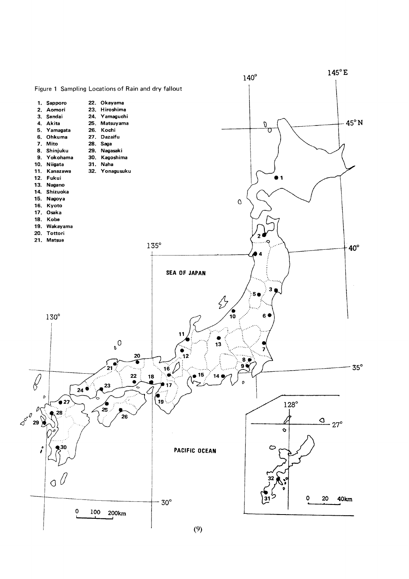

 $(9)$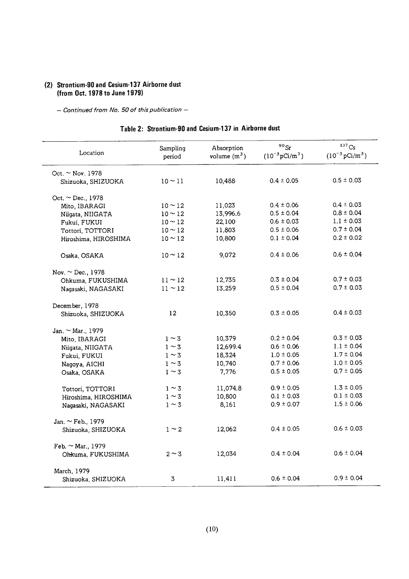## (2) Strontium-90 and Cesium-137 Airborne dust (from Oct. 1978 to June 1979)

- Continued from No. 50 of this publication -

|  | Table 2: Strontium-90 and Cesium-137 in Airborne dust |  |  |  |
|--|-------------------------------------------------------|--|--|--|
|  |                                                       |  |  |  |

| Location               | Sampling<br>period | Absorption<br>volume $(m^3)$ | $^{90}\rm{Sr}$<br>$(10^{-3} \text{pCi/m}^3)$ | 137C <sub>S</sub><br>$(10^{-3} \,\mathrm{pCi/m^3})$ |
|------------------------|--------------------|------------------------------|----------------------------------------------|-----------------------------------------------------|
| Oct. $\sim$ Nov. 1978  |                    |                              |                                              |                                                     |
| Shizuoka, SHIZUOKA     | $10 - 11$          | 10,488                       | $0.4 \pm 0.05$                               | $0.5 \pm 0.03$                                      |
| Oct. $\sim$ Dec., 1978 |                    |                              |                                              |                                                     |
| Mito, IBARAGI          | $10 \sim 12$       | 11,023                       | $0.4 \pm 0.06$                               | $0.4 \pm 0.03$                                      |
| Niigata, NIIGATA       | $10 - 12$          | 13,996.6                     | $0.5 \pm 0.04$                               | $0.8 \pm 0.04$                                      |
| Fukui, FUKUI           | $10 \sim 12$       | 22,100                       | $0.6 \pm 0.03$                               | $1.1 \pm 0.03$                                      |
| Tottori, TOTTORI       | $10 \sim 12$       | 11,803                       | $0.5 \pm 0.06$                               | $0.7 \pm 0.04$                                      |
| Hiroshima, HIROSHIMA   | $10 \sim 12$       | 10,800                       | $0.1 \pm 0.04$                               | $0.2 \pm 0.02$                                      |
| Osaka, OSAKA           | $10 \sim 12$       | 9,072                        | $0.4 \pm 0.06$                               | $0.6 \pm 0.04$                                      |
| Nov. $\sim$ Dec., 1978 |                    |                              |                                              |                                                     |
| Ohkuma, FUKUSHIMA      | $11 \sim 12$       | 12,735                       | $0.3 \pm 0.04$                               | $0.7 \pm 0.03$                                      |
| Nagasaki, NAGASAKI     | $11 \sim 12$       | 13,259                       | $0.5 \pm 0.04$                               | $0.7 \pm 0.03$                                      |
| December, 1978         |                    |                              |                                              |                                                     |
| Shizuoka, SHIZUOKA     | $12 \overline{ }$  | 10,350                       | $0.3 \pm 0.05$                               | $0.4 \pm 0.03$                                      |
| Jan. $\sim$ Mar., 1979 |                    |                              |                                              |                                                     |
| Mito, IBARAGI          | $1 \sim 3$         | 10,379                       | $0.2 \pm 0.04$                               | $0.3 \pm 0.03$                                      |
| Niigata, NIIGATA       | $1 \sim 3$         | 12,699.4                     | $0.6 \pm 0.06$                               | $1.1 \pm 0.04$                                      |
| Fukui, FUKUI           | $1 \sim 3$         | 18,324                       | $1.0 \pm 0.05$                               | $1.7 \pm 0.04$                                      |
| Nagoya, AICHI          | $1 \sim 3$         | 10,740                       | $0.7 \pm 0.06$                               | $1.0 \pm 0.05$                                      |
| Osaka, OSAKA           | $1 \sim 3$         | 7,776                        | $0.5 \pm 0.05$                               | $0.7 \pm 0.05$                                      |
| Tottori, TOTTORI       | $1 \sim 3$         | 11,074.8                     | $0.9 \pm 0.05$                               | $1.3 \pm 0.05$                                      |
| Hiroshima, HIROSHIMA   | $1 \sim 3$         | 10,800                       | $0.1 \pm 0.03$                               | $0.1 \pm 0.03$                                      |
| Nagasaki, NAGASAKI     | $1 \sim 3$         | 8,161                        | $0.9 \pm 0.07$                               | $1.5 \pm 0.06$                                      |
| Jan. $\sim$ Feb., 1979 |                    |                              |                                              |                                                     |
| Shizuoka, SHIZUOKA     | $1 \sim 2$         | 12,062                       | $0.4 \pm 0.05$                               | $0.6 \pm 0.03$                                      |
| Feb. $\sim$ Mar., 1979 |                    |                              |                                              |                                                     |
| Ohkuma, FUKUSHIMA      | $2 \sim 3$         | 12,034                       | $0.4 \pm 0.04$                               | $0.6 \pm 0.04$                                      |
| March, 1979            |                    |                              |                                              |                                                     |
| Shizuoka, SHIZUOKA     | 3                  | 11,411                       | $0.6 \pm 0.04$                               | $0.9 \pm 0.04$                                      |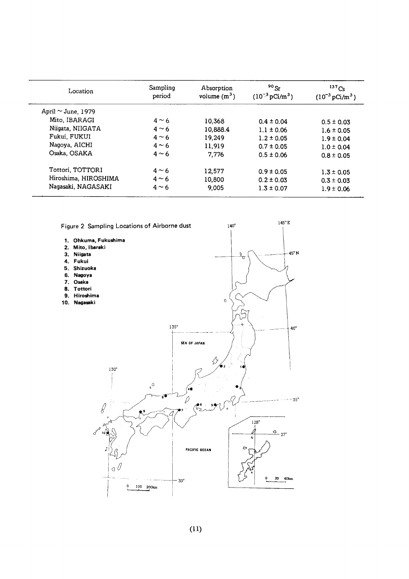| Location                | Sampling<br>period | Absorption<br>volume $(m^3)$ | $90$ Sr<br>$(10^{-3} \,\mathrm{pCi/m^3})$ | $^{137}Cs$<br>$(10^{-3} \,\mathrm{pCi/m^3})$ |
|-------------------------|--------------------|------------------------------|-------------------------------------------|----------------------------------------------|
| April $\sim$ June, 1979 |                    |                              |                                           |                                              |
| Mito, IBARAGI           | $4 \sim 6$         | 10.368                       | $0.4 \pm 0.04$                            | $0.5 \pm 0.03$                               |
| Niigata, NIIGATA        | $4 \sim 6$         | 10,888.4                     | $1.1 \pm 0.06$                            | $1.6 \pm 0.05$                               |
| Fukui, FUKUI            | $4 \sim 6$         | 19,249                       | $1.2 \pm 0.05$                            | $1.9 \pm 0.04$                               |
| Nagoya, AICHI           | $4 \sim 6$         | 11.919                       | $0.7 \pm 0.05$                            | $1.0 \pm 0.04$                               |
| Osaka, OSAKA            | $4 \sim 6$         | 7.776                        | $0.5 \pm 0.06$                            | $0.8 \pm 0.05$                               |
| Tottori. TOTTORI        | $4 \sim 6$         | 12.577                       | $0.9 \pm 0.05$                            | $1.3 \pm 0.05$                               |
| Hiroshima, HIROSHIMA    | $4 \sim 6$         | 10,800                       | $0.2 \pm 0.03$                            | $0.3 \pm 0.03$                               |
| Nagasaki, NAGASAKI      | $4 \sim 6$         | 9.005                        | $1.3 \pm 0.07$                            | $1.9 \pm 0.06$                               |

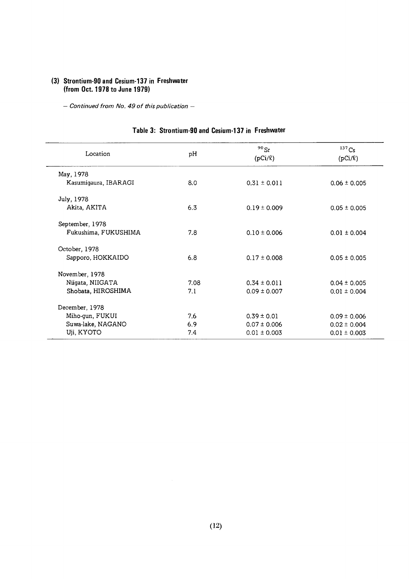#### (3) Strontium-90 and Cesium-137 in Freshwater (from Oct. 1978 to June 1979)

 $-$  Continued from No. 49 of this publication  $-$ 

| Location             | pH   | $90$ Sr<br>$(pCi/\ell)$ | $137$ Cs<br>$(pCi/\ell)$ |
|----------------------|------|-------------------------|--------------------------|
| May, 1978            |      |                         |                          |
| Kasumigaura, IBARAGI | 8.0  | $0.31 \pm 0.011$        | $0.06 \pm 0.005$         |
| July, 1978           |      |                         |                          |
| Akita, AKITA         | 6.3  | $0.19 \pm 0.009$        | $0.05 \pm 0.005$         |
| September, 1978      |      |                         |                          |
| Fukushima, FUKUSHIMA | 7.8  | $0.10 \pm 0.006$        | $0.01 \pm 0.004$         |
| October, 1978        |      |                         |                          |
| Sapporo, HOKKAIDO    | 6.8  | $0.17 \pm 0.008$        | $0.05 \pm 0.005$         |
| November, 1978       |      |                         |                          |
| Niigata, NIIGATA     | 7.08 | $0.34 \pm 0.011$        | $0.04 \pm 0.005$         |
| Shobata, HIROSHIMA   | 7.1  | $0.09 \pm 0.007$        | $0.01 \pm 0.004$         |
| December, 1978       |      |                         |                          |
| Miho-gun, FUKUI      | 7.6  | $0.39 \pm 0.01$         | $0.09 \pm 0.006$         |
| Suwa-lake, NAGANO    | 6.9  | $0.07 \pm 0.006$        | $0.02 \pm 0.004$         |
| Uji, KYOTO           | 7.4  | $0.01 \pm 0.003$        | $0.01 \pm 0.003$         |

#### Table 3: Strontium-90 and Cesium-137 in Freshwater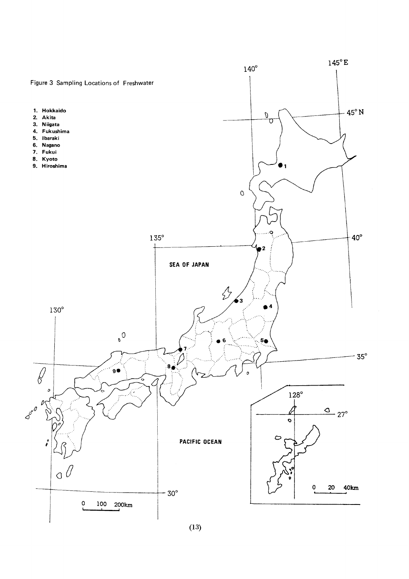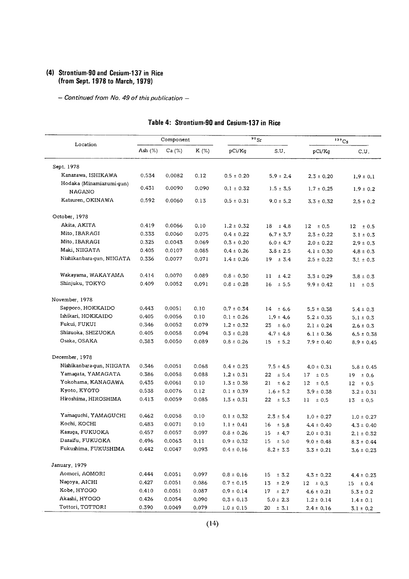#### (4) Strontium-90 and Cesium-137 in Rice (from Sept. 1978 to March, 1979)

- Continued from No. 49 of this publication -

| Location                                  |            | Component |       |                | $\overline{^{90}}$ Sr |                 | $137C_S$        |
|-------------------------------------------|------------|-----------|-------|----------------|-----------------------|-----------------|-----------------|
|                                           | Ash $(\%)$ | Ca $(%)$  | K (%) | pCi/Kg         | S.U.                  | pCi/Kg          | C.U.            |
| Sept. 1978                                |            |           |       |                |                       |                 |                 |
| Kanazawa, ISHIKAWA                        | 0.534      | 0.0082    | 0.12  | $0.5 \pm 0.20$ | $5.9 \pm 2.4$         | $2.3 \pm 0.20$  | $1.9 \pm 0.1$   |
| Hodaka (Minamiazumi-gun)<br><b>NAGANO</b> | 0.431      | 0.0090    | 0.090 | $0.1 \pm 0.32$ | $1.5 \pm 3.5$         | $1.7 \pm 0.25$  | $1.9 \pm 0.2$   |
| Katsuren, OKINAWA                         | 0.592      | 0.0060    | 0.13  | $0.5 \pm 0.31$ | $9.0 \pm 5.2$         | $3.3 \pm 0.32$  | $2.5 \pm 0.2$   |
| October, 1978                             |            |           |       |                |                       |                 |                 |
| Akita, AKITA                              | 0.419      | 0.0066    | 0.10  | $1.2 \pm 0.32$ | $18 \pm 4.8$          | $12 \pm 0.5$    | $12 \pm 0.5$    |
| Mito, IBARAGI                             | 0.333      | 0.0060    | 0.075 | $0.4 \pm 0.22$ | $6.7 \pm 3.7$         | $2.3 \pm 0.22$  | $3.1\pm0.3$     |
| Mito, IBARAGI                             | 0.325      | 0.0043    | 0.069 | $0.3 \pm 0.20$ | $6.0 \pm 4.7$         | $2.0 \pm 0.22$  | $2.9 \pm 0.3$   |
| Maki, NIIGATA                             | 0.405      | 0.0107    | 0.085 | $0.4 \pm 0.26$ | $3.8 \pm 2.5$         | $4.1 \pm 0.30$  | $4.8 \pm 0.3$   |
| Nishikanbara-gun, NIIGATA                 | 0.336      | 0.0077    | 0.071 | $1.4 \pm 0.26$ | $19 \pm 3.4$          | $2.5 \pm 0.22$  | $3.5 \pm 0.3$   |
| Wakayama, WAKAYAMA                        | 0.414      | 0.0070    | 0.089 | $0.8 \pm 0.30$ | 11<br>± 4.2           | $3.3 \pm 0.29$  | $3.8 \pm 0.3$   |
| Shinjuku, TOKYO                           | 0.409      | 0.0052    | 0.091 | $0.8 \pm 0.28$ | 16<br>$\pm$ 5.5       | $9.9 \pm 0.42$  | 11<br>$\pm 0.5$ |
| November, 1978                            |            |           |       |                |                       |                 |                 |
| Sapporo, HOKKAIDO                         | 0.443      | 0.0051    | 0.10  | $0.7 \pm 0.34$ | $14 \pm 6.6$          | $5.5 \pm 0.38$  | $5.4 \pm 0.3$   |
| Ishikari, HOKKAIDO                        | 0.405      | 0.0056    | 0.10  | $0.1 \pm 0.26$ | $1.9 \pm 4.6$         | $5.2 \pm 0.35$  | $5.1\pm0.3$     |
| Fukui, FUKUI                              | 0.346      | 0.0052    | 0.079 | $1.2 \pm 0.32$ | $23 \pm 6.0$          | $2.1 \pm 0.24$  | $2.6 \pm 0.3$   |
| Shizuoka, SHIZUOKA                        | 0.405      | 0.0058    | 0.094 | $0.3 \pm 0.28$ | $4.7 \pm 4.8$         | $6.1 \pm 0.36$  | $6.5 \pm 0.38$  |
| Osaka, OSAKA                              | 0.383      | 0.0050    | 0.089 | $0.8 \pm 0.26$ | $15 \pm 5.2$          | $7.9 \pm 0.40$  | $8.9 \pm 0.45$  |
| December, 1978                            |            |           |       |                |                       |                 |                 |
| Nishikanbara-gun, NIIGATA                 | 0.346      | 0.0051    | 0.068 | $0.4 \pm 0.23$ | $7.5 \pm 4.5$         | $4.0 \pm 0.31$  | $5.8 \pm 0.45$  |
| Yamagata, YAMAGATA                        | 0.386      | 0.0058    | 0.088 | $1.2 \pm 0.31$ | 22<br>± 5.4           | $17 \pm 0.5$    | 19<br>± 0.6     |
| Yokohama, KANAGAWA                        | 0.435      | 0.0061    | 0.10  | $1.3 \pm 0.38$ | 21<br>± 6.2           | 12<br>$\pm 0.5$ | 12<br>± 0.5     |
| Kyoto, KYOTO                              | 0.538      | 0.0076    | 0.12  | $0.1 \pm 0.39$ | $1.6 \pm 5.2$         | $3.9 \pm 0.38$  | $3.2 \pm 0.31$  |
| Hiroshima, HIROSHIMA                      | 0.413      | 0.0059    | 0.085 | $1.3 \pm 0.31$ | $22 \pm 5.3$          | $11 \pm 0.5$    | 13<br>± 0.5     |
| Yamaguchi, YAMAGUCHI                      | 0.462      | 0.0058    | 0.10  | $0.1 \pm 0.32$ | $2.3 \pm 5.4$         | $1.0 \pm 0.27$  | $1.0 \pm 0.27$  |
| Kochi, KOCHI                              | 0.483      | 0.0071    | 0.10  | $1.1 \pm 0.41$ | 16<br>± 5.8           | $4.4 \pm 0.40$  | $4.3 \pm 0.40$  |
| Kasuqa, FUKUOKA                           | 0.457      | 0.0057    | 0.097 | $0.8 \pm 0.26$ | 15<br>± 4.7           | $2.0 \pm 0.31$  | $2.1 \pm 0.32$  |
| Dazaifu, FUKUOKA                          | 0.496      | 0.0063    | 0.11  | $0.9 \pm 0.32$ | $15 \pm 5.0$          | $9.0 \pm 0.48$  | $8.3 \pm 0.44$  |
| Fukushima, FUKUSHIMA                      | 0.442      | 0.0047    | 0.093 | $0.4 \pm 0.16$ | $8.2 \pm 3.3$         | $3.3 \pm 0.21$  | $3.6 \pm 0.23$  |
| January, 1979                             |            |           |       |                |                       |                 |                 |
| Aomori, AOMORI                            | 0.444      | 0.0051    | 0.097 | $0.8 \pm 0.16$ | $\pm$ 3.2<br>15       | $4.3 \pm 0.22$  | $4.4 \pm 0.23$  |
| Nagoya, AICHI                             | 0.427      | 0.0051    | 0.086 | $0.7 \pm 0.15$ | 13<br>± 2.9           | $12 \pm 0.3$    | $15 \pm 0.4$    |
| Kobe, HYOGO                               | 0.410      | 0.0051    | 0.087 | $0.9 \pm 0.14$ | $17 \pm 2.7$          | $4.6 \pm 0.21$  | $5.3 \pm 0.2$   |
| Akashi, HYOGO                             | 0.426      | 0.0054    | 0.090 | $0.3 \pm 0.13$ | $5.0 \pm 2.3$         | $1.2 \pm 0.14$  | $1.4 \pm 0.1$   |
| Tottori, TOTTORI                          | 0.390      | 0.0049    | 0.079 | $1.0 \pm 0.15$ | $20 \pm 3.1$          | $2.4 \pm 0.16$  | $3.1 \pm 0.2$   |

#### Table 4: Strontium-90 and Cesium-137 in Rice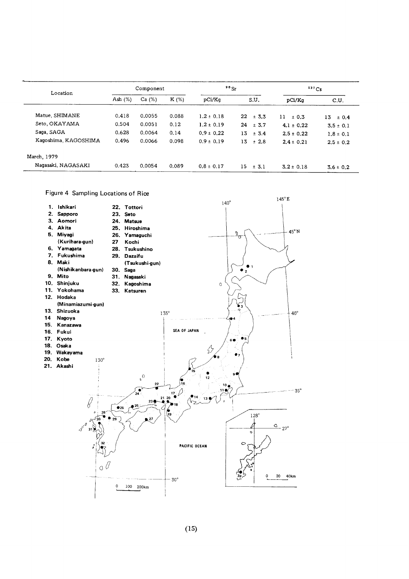| Location             | Component  |        |         | 90 <sub>5</sub> |                  | 137Cs          |                 |
|----------------------|------------|--------|---------|-----------------|------------------|----------------|-----------------|
|                      | Ash $(\%)$ | Ca (%) | $K(\%)$ | pCi/Kq          | S.U.             | pCi/Kq         | C.U.            |
| Matue, SHIMANE       | 0.418      | 0.0055 | 0.088   | $1.2 \pm 0.18$  | 22<br>$\pm$ 3.3  | 11<br>± 0.3    | 13<br>$\pm 0.4$ |
| Seto. OKAYAMA        | 0.504      | 0.0051 | 0.12    | $1.2 \pm 0.19$  | 24<br>± 3.7      | $4.1 \pm 0.22$ | $3.5 \pm 0.1$   |
| Saga, SAGA           | 0.628      | 0.0064 | 0.14    | $0.9 \pm 0.22$  | 13<br>± 3.4      | $2.5 \pm 0.22$ | $1.8 \pm 0.1$   |
| Kaqoshima, KAGOSHIMA | 0.496      | 0.0066 | 0.098   | $0.9 \pm 0.19$  | 13<br>±2.8       | $2.4 \pm 0.21$ | $2.5 \pm 0.2$   |
| March, 1979          |            |        |         |                 |                  |                |                 |
| Naqasaki, NAGASAKI   | 0.423      | 0.0054 | 0.089   | $0.8 \pm 0.17$  | 15.<br>$\pm$ 3.1 | $3.2 \pm 0.18$ | $3.6 \pm 0.2$   |

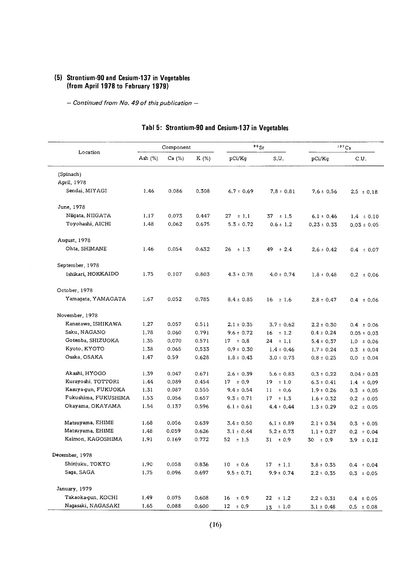#### (5) Strontium-90 and Cesium-137 in Vegeta (from April 1978 to February 1)

- Continued from No. 49 of this publication -

| Location             |         | Component |       |                 | $90$ Sr         |                 | 137Cs           |
|----------------------|---------|-----------|-------|-----------------|-----------------|-----------------|-----------------|
|                      | Ash (%) | Ca (%)    | K (%) | pCi/Kg          | S.U.            | pCi/Kg          | C.U.            |
| (Spinach)            |         |           |       |                 |                 |                 |                 |
| April, 1978          |         |           |       |                 |                 |                 |                 |
| Sendai, MIYAGI       | 1.46    | 0.086     | 0.308 | $6.7 \pm 0.69$  | $7.8 \pm 0.81$  | $7.6 \pm 0.56$  | $2.5 \pm 0.18$  |
| June, 1978           |         |           |       |                 |                 |                 |                 |
| Niigata, NIIGATA     | 1.17    | 0.073     | 0.447 | ± 1.1<br>27     | 37<br>$\pm$ 1.5 | $6.1 \pm 0.46$  | $1.4 \pm 0.10$  |
| Toyohashi, AICHI     | 1.48    | 0.062     | 0.675 | $5.3 \pm 0.72$  | $0.6 \pm 1.2$   | $0.23 \pm 0.33$ | $0.03 \pm 0.05$ |
| August, 1978         |         |           |       |                 |                 |                 |                 |
| Ohta, SHIMANE        | 1.46    | 0.054     | 0.632 | 26<br>$\pm$ 1.3 | 49<br>± 2.4     | $2.6 \pm 0.42$  | $0.4 \pm 0.07$  |
| September, 1978      |         |           |       |                 |                 |                 |                 |
| Ishikari, HOKKAIDO   | 1.75    | 0.107     | 0.803 | $4.3 \pm 0.78$  | $4.0 \pm 0.74$  | $1.8 \pm 0.48$  | $0.2 \pm 0.06$  |
| October, 1978        |         |           |       |                 |                 |                 |                 |
| Yamagata, YAMAGATA   | 1.67    | 0.052     | 0.785 | $8.4 \pm 0.85$  | 16<br>$\pm$ 1.6 | $2.8 \pm 0.47$  | $0.4 \pm 0.06$  |
| November, 1978       |         |           |       |                 |                 |                 |                 |
| Kanazawa, ISHIKAWA   | 1.27    | 0.057     | 0.511 | $2.1 \pm 0.35$  | $3.7 \pm 0.62$  | $2.2 \pm 0.30$  | $0.4 \pm 0.06$  |
| Saku, NAGANO         | 1.78    | 0.060     | 0.791 | $9.6 \pm 0.72$  | $16 \pm 1.2$    | $0.4 \pm 0.24$  | $0.05 \pm 0.03$ |
| Gotenba, SHIZUOKA    | 1.35    | 0.070     | 0.571 | $17 \pm 0.8$    | $24 \pm 1.1$    | $5.4 \pm 0.37$  | $1.0 \pm 0.06$  |
| Kyoto, KYOTO         | 1.38    | 0.065     | 0.533 | $0.9 \pm 0.30$  | $1.4 \pm 0.46$  | $1.7 \pm 0.24$  | $0.3 \pm 0.04$  |
| Osaka, OSAKA         | 1.47    | 0.59      | 0.628 | $1.8 \pm 0.43$  | $3.0 \pm 0.73$  | $0.8 \pm 0.25$  | $0.0 \pm 0.04$  |
| Akashi, HYOGO        | 1.39    | 0.047     | 0.671 | $2.6 \pm 0.39$  | $5.6 \pm 0.83$  | $0.3 \pm 0.22$  | $0.04 \pm 0.03$ |
| Kurayoshi, TOTTORI   | 1.44    | 0.089     | 0.454 | $17 + 0.9$      | 19<br>$\pm$ 1.0 | $6.3 \pm 0.41$  | $1.4 \pm 0.09$  |
| Kasuya-gun, FUKUOKA  | 1.31    | 0.087     | 0.555 | $9.4 \pm 0.54$  | 11<br>± 0.6     | $1.9 \pm 0.26$  | $0.3 \pm 0.05$  |
| Fukushima, FUKUSHIMA | 1.53    | 0.056     | 0.657 | $9.3 \pm 0.71$  | 17<br>±1.3      | $1.6 \pm 0.32$  | $0.2 \pm 0.05$  |
| Okayama, OKAYAMA     | 1.54    | 0.137     | 0.596 | $6.1 \pm 0.61$  | $4.4 \pm 0.44$  | $1.3 \pm 0.29$  | $0.2 \pm 0.05$  |
| Matsuyama, EHIME     | 1.68    | 0.056     | 0.639 | $3.4 \pm 0.50$  | $6.1 \pm 0.89$  | $2.1 \pm 0.34$  | $0.3 \pm 0.05$  |
| Matsuyama, EHIME     | 1.48    | 0.059     | 0.626 | $3.1 \pm 0.44$  | $5.2 \pm 0.73$  | $1.1 \pm 0.27$  | $0.2 \pm 0.04$  |
| Kaimon, KAGOSHIMA    | 1.91    | 0.169     | 0.772 | $52 + 1.5$      | $31 + 0.9$      | $30 \pm 0.9$    | $3.9 \pm 0.12$  |
| December, 1978       |         |           |       |                 |                 |                 |                 |
| Shinjuku, TOKYO      | 1.90    | 0.058     | 0.836 | $10 \pm 0.6$    | $17 \pm 1.1$    | $3.8 \pm 0.35$  | $0.4 \pm 0.04$  |
| Saga, SAGA           | 1.75    | 0.096     | 0.697 | $9.5 \pm 0.71$  | $9.9 \pm 0.74$  | $2.2 \pm 0.35$  | $0.3 \pm 0.05$  |
| January, 1979        |         |           |       |                 |                 |                 |                 |
| Takaoka-gun, KOCHI   | 1.49    | 0.075     | 0.608 | $16 \pm 0.9$    | $22 \pm 1.2$    | $2.2 \pm 0.31$  | $0.4 \pm 0.05$  |
| Nagasaki, NAGASAKI   | 1.65    | 0.088     | 0.600 | $12 \pm 0.9$    | $13 \pm 1.0$    | $3.1 \pm 0.48$  | $0.5 \pm 0.08$  |

## Tabl 5: Strontium-90 and Cesium-137 in Vegetables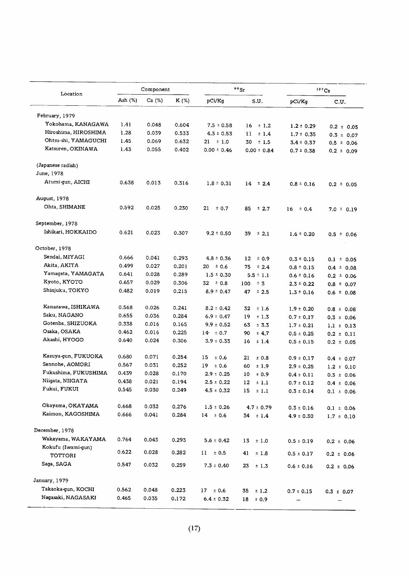| Location                                 |            | Component |       |                 | $90$ Sr         |                | 137Cs          |
|------------------------------------------|------------|-----------|-------|-----------------|-----------------|----------------|----------------|
|                                          | Ash $(\%)$ | Ca $(%)$  | K (%) | pCi/Kg          | S.U.            | pCi/Kg         | C.U.           |
| February, 1979                           |            |           |       |                 |                 |                |                |
| Yokohama, KANAGAWA                       | 1.41       | 0.048     | 0.604 | $7.5 \pm 0.58$  | $16 \pm 1.2$    | $1.2 \pm 0.29$ | $0.2 \pm 0.05$ |
| Hiroshima, HIROSHIMA                     | 1.28       | 0.039     | 0.533 | $4.3 \pm 0.53$  | 11<br>±1.4      | $1.7 \pm 0.35$ | $0.3 \pm 0.07$ |
| Ohtsu-shi, YAMAGUCHI                     | 1.45       | 0.069     | 0.632 | $21 \pm 1.0$    | 30<br>$\pm$ 1.5 | $3.4 \pm 0.37$ | $0.5 \pm 0.06$ |
| Katsuren, OKINAWA                        | 1.43       | 0.055     | 0.402 | $0.00 \pm 0.46$ | $0.00 \pm 0.84$ | $0.7 \pm 0.38$ | $0.2 \pm 0.09$ |
| (Japanese radish)                        |            |           |       |                 |                 |                |                |
| June, 1978                               |            |           |       |                 |                 |                |                |
| Atumi-gun, AICHI                         | 0.638      | 0.013     | 0.316 | $1.8 \pm 0.31$  | $14 \pm 2.4$    | $0.8 \pm 0.16$ | $0.2 \pm 0.05$ |
| August, 1978                             |            |           |       |                 |                 |                |                |
| Ohta, SHIMANE                            | 0.592      | 0.025     | 0.230 | 21<br>± 0.7     | 85<br>$\pm 2.7$ | ± 0.4<br>16    | $7.0 \pm 0.19$ |
| September, 1978                          |            |           |       |                 |                 |                |                |
| Ishikari, HOKKAIDO                       | 0.621      | 0.023     | 0.307 | $9.2 \pm 0.50$  | 39<br>$\pm$ 2.1 | $1.6 \pm 0.20$ | $0.5 \pm 0.06$ |
| October, 1978                            |            |           |       |                 |                 |                |                |
| Sendai, MIYAGI                           | 0.666      | 0.041     | 0.293 | $4.8 \pm 0.36$  | 12<br>± 0.9     | $0.3 \pm 0.15$ | $0.1 \pm 0.05$ |
| Akita, AKITA                             | 0.499      | 0.027     | 0.201 | $20 \pm 0.6$    | $\pm 2.4$<br>75 | $0.8 \pm 0.15$ | $0.4 \pm 0.08$ |
| Yamagata, YAMAGATA                       | 0.641      | 0.028     | 0.289 | $1.5 \pm 0.30$  | $5.5 \pm 1.1$   | $0.6 \pm 0.16$ | $0.2 \pm 0.06$ |
| Kyoto, KYOTO                             | 0.657      | 0.029     | 0.306 | $32 \pm 0.8$    | ± 3<br>100      | $2.3 \pm 0.22$ | $0.8 \pm 0.07$ |
| Shinjuku, TOKYO                          | 0.482      | 0.019     | 0.215 | $8.9 \pm 0.47$  | 47<br>$\pm$ 2.5 | $1.3 \pm 0.16$ | $0.6 \pm 0.08$ |
| Kanazawa, ISHIKAWA                       | 0.568      | 0.026     | 0.241 | $8.2 \pm 0.42$  | 32<br>±1.6      | $1.9 \pm 0.20$ | $0.8 \pm 0.08$ |
| Saku, NAGANO                             | 0.655      | 0.036     | 0.284 | $6.9 \pm 0.47$  | 19<br>±1.3      | $0.7 \pm 0.17$ | $0.3 \pm 0.06$ |
| Gotenba, SHIZUOKA                        | 0.338      | 0.016     | 0.165 | $9.9 \pm 0.52$  | 63<br>± 3.3     | $1.7 \pm 0.21$ | $1.1 \pm 0.13$ |
| Osaka, OSAKA                             | 0.462      | 0.016     | 0.225 | $14 \pm 0.7$    | 90<br>± 4.7     | $0.5 \pm 0.25$ | $0.2 \pm 0.11$ |
| Akashi, HYOGO                            | 0.640      | 0.024     | 0.306 | $3.9 \pm 0.33$  | 16<br>±1.4      | $0.5 \pm 0.15$ | $0.2 \pm 0.05$ |
| Kasuya-gun, FUKUOKA                      | 0.680      | 0.071     | 0.254 | 15<br>± 0.6     | 21<br>± 0.8     | $0.9 \pm 0.17$ | $0.4 \pm 0.07$ |
| Sannohe, AOMORI                          | 0.567      | 0.031     | 0.252 | 19<br>± 0.6     | 60<br>±1.9      | $2.9 \pm 0.25$ | $1.2 \pm 0.10$ |
| Fukushima, FUKUSHIMA                     | 0.439      | 0.028     | 0.170 | $2.9 \pm 0.25$  | 10<br>± 0.9     | $0.4 \pm 0.11$ | $0.3 \pm 0.06$ |
| Niigata, NIIGATA                         | 0.438      | 0.021     | 0.194 | $2.5 \pm 0.22$  | 12<br>±1.1      | $0.7 \pm 0.12$ | $0.4 \pm 0.06$ |
| Fukui, FUKUI                             | 0.545      | 0.030     | 0.249 | $4.5 \pm 0.32$  | $15 + 1.1$      | $0.3 \pm 0.14$ | $0.1 \pm 0.06$ |
| Okayama, OKAYAMA                         | 0.668      | 0.032     | 0.276 | $1.5 \pm 0.26$  | $4.7 \pm 0.79$  | $0.3 \pm 0.16$ | $0.1 \pm 0.06$ |
| Kaimon, KAGOSHIMA                        | 0.666      | 0.041     | 0.284 | $14 \pm 0.6$    | $34 \pm 1.4$    | $4.9 \pm 0.30$ | $1.7 \pm 0.10$ |
| December, 1978                           |            |           |       |                 |                 |                |                |
| Wakayama, WAKAYAMA<br>Kokufu (Iwami-gun) | 0.764      | 0.043     | 0.293 | $5.6 \pm 0.42$  | ±1.0<br>13      | $0.5 \pm 0.19$ | $0.2 \pm 0.06$ |
| TOTTORI                                  | 0.622      | 0.028     | 0.282 | $11 \pm 0.5$    | 41<br>±1.8      | $0.5 \pm 0.17$ | $0.2 \pm 0.06$ |
| Saga, SAGA                               | 0.547      | 0.032     | 0.259 | $7.3 \pm 0.40$  | 23<br>±1.3      | $0.6 \pm 0.16$ | $0.2 \pm 0.06$ |
| January, 1979                            |            |           |       |                 |                 |                |                |
| Takaoka-gun, KOCHI                       | 0.562      | 0.048     | 0.223 | $17 \pm 0.6$    | ±1.2<br>35      | $0.7 \pm 0.15$ | $0.3 \pm 0.07$ |
| Nagasaki, NAGASAKI                       | 0.465      | 0.035     | 0.172 | $6.4 \pm 0.32$  | $18 \pm 0.9$    |                |                |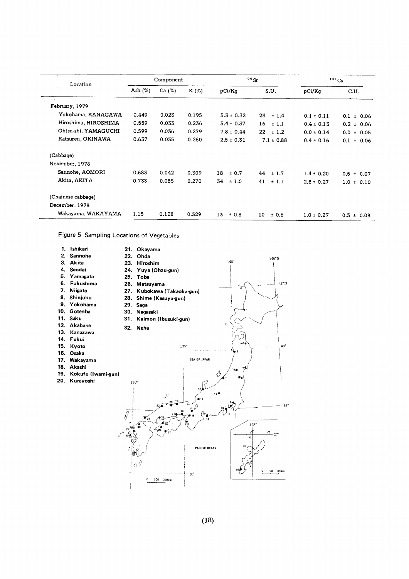| Location             |            | Component |       |                 | $90S$ r         |                | 137Cs             |
|----------------------|------------|-----------|-------|-----------------|-----------------|----------------|-------------------|
|                      | Ash $(\%)$ | Ca (%)    | K (%) | pCi/Kq          | S.U.            | pCi/Kq         | C.U.              |
| February, 1979       |            |           |       |                 |                 |                |                   |
| Yokohama, KANAGAWA   | 0.449      | 0.023     | 0.195 | $5.3 \pm 0.32$  | 23<br>±1.4      | $0.1 \pm 0.11$ | $0.1 \pm 0.06$    |
| Hiroshima, HIROSHIMA | 0.559      | 0.033     | 0.236 | $5.4 \pm 0.37$  | 16<br>$\pm$ 1.1 | $0.4 \pm 0.13$ | $0.2 \pm 0.06$    |
| Ohtsu-shi, YAMAGUCHI | 0.599      | 0.036     | 0.279 | $7.8 \pm 0.44$  | $22 + 1.2$      | $0.0 \pm 0.14$ | $0.0 \pm 0.05$    |
| Katsuren, OKINAWA    | 0.637      | 0.035     | 0.260 | $2.5 \pm 0.31$  | $7.1 \pm 0.88$  | $0.4 \pm 0.16$ | $0.1 \pm 0.06$    |
| (Cabbage)            |            |           |       |                 |                 |                |                   |
| November, 1978       |            |           |       |                 |                 |                |                   |
| Sannohe, AOMORI      | 0.683      | 0.042     | 0.309 | 18<br>± 0.7     | 44<br>$\pm$ 1.7 | $1.4 \pm 0.20$ | 0.5<br>$\pm$ 0.07 |
| Akita, AKITA         | 0.733      | 0.085     | 0.270 | 34<br>$\pm$ 1.0 | 41<br>± 1.1     | $2.8 \pm 0.27$ | $1.0 \pm 0.10$    |
| (Chainese cabbage)   |            |           |       |                 |                 |                |                   |
| December, 1978       |            |           |       |                 |                 |                |                   |
| Wakayama, WAKAYAMA   | 1.15       | 0.128     | 0.329 | 13<br>± 0.8     | 10<br>± 0.6     | $1.0 \pm 0.27$ | $0.3 \pm 0.08$    |

Figure 5 Sampling Locations of Vegetables

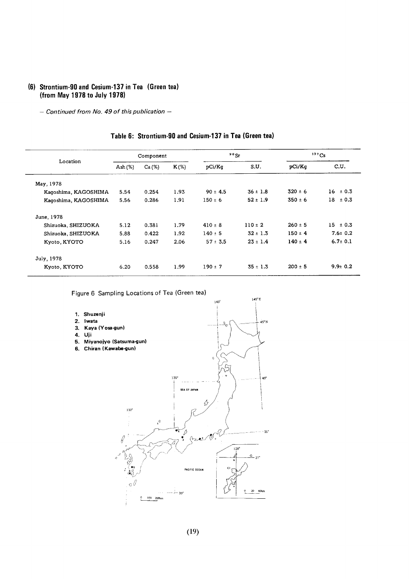#### (6) Strontium-90 and Cesium-137 in Tea (Green tea) (from May 1978 to July 1978)

- Continued from No. 49 of this publication -

|                      | Component  |       |         | $90$ Sr      |              | 137Cs       |               |
|----------------------|------------|-------|---------|--------------|--------------|-------------|---------------|
| Location             | Ash $(\%)$ | Ca(%) | $K(\%)$ | pCi/Kq       | S.U.         | pCi/Kq      | C.U.          |
| May, 1978            |            |       |         |              |              |             |               |
| Kaqoshima, KAGOSHIMA | 5.54       | 0.254 | 1.93    | $90 \pm 4.5$ | $36 \pm 1.8$ | $320 \pm 6$ | 16<br>± 0.3   |
| Kagoshima, KAGOSHIMA | 5.56       | 0.286 | 1.91    | $150 \pm 6$  | $52 \pm 1.9$ | $350 \pm 6$ | $18 \pm 0.3$  |
| June, 1978           |            |       |         |              |              |             |               |
| Shizuoka, SHIZUOKA   | 5.12       | 0.381 | 1.79    | $410 \pm 8$  | $110 \pm 2$  | $260 \pm 5$ | $15 \pm 0.3$  |
| Shizuoka, SHIZUOKA   | 5.88       | 0.422 | 1.92    | $140 \pm 5$  | $32 \pm 1.3$ | $150 \pm 4$ | $7.6 \pm 0.2$ |
| Kyoto, KYOTO         | 5.16       | 0.247 | 2.06    | $57 \pm 3.5$ | $23 \pm 1.4$ | $140 \pm 4$ | $6.7 \pm 0.1$ |
| July, 1978           |            |       |         |              |              |             |               |
| Kyoto, KYOTO         | 6.20       | 0.558 | 1.99    | $190 \pm 7$  | $35 \pm 1.3$ | $200 \pm 5$ | $9.9 \pm 0.2$ |

#### Table 6: Strontium-90 and Cesium-137 in Tea (Green tea)

Figure 6 Sampling Locations of Tea (Green tea)

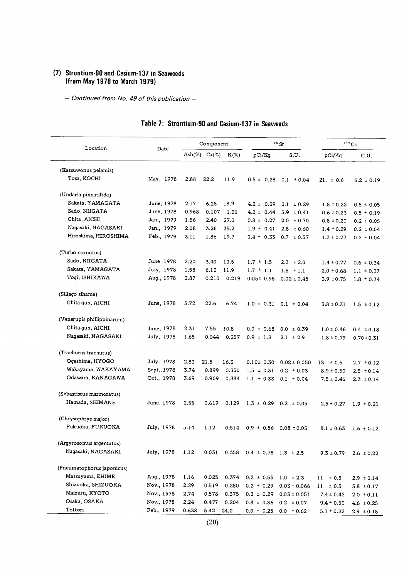#### (7) Strontium-90 and Cesium-137 in Seav (from May 1978 to March)

 $\overline{a}$ 

- Continued from No. 49 of this publication -

| Location                   | Date        |       | Component            |         |                                | $90$ Sr                       |                | 137Cs           |
|----------------------------|-------------|-------|----------------------|---------|--------------------------------|-------------------------------|----------------|-----------------|
|                            |             |       | Ash $(\%)$ Ca $(\%)$ | $K(\%)$ | pCi/Kq                         | S.U.                          | pCi/Kq         | C.U.            |
| (Katsuwonus pelamis)       |             |       |                      |         |                                |                               |                |                 |
| Tosa, KOCHI                | May, 1978   | 2.88  | 22,2                 | 11.9    | $0.5 \pm 0.28$                 | $0.1 \pm 0.04$                | $21. \pm 0.6$  | $6.2 \pm 0.19$  |
| (Undaria pinnatifida)      |             |       |                      |         |                                |                               |                |                 |
| Sakata, YAMAGATA           | June, 1978  | 2.17  | 6.28                 | 18.9    | $4.2 \pm 0.39$                 | $3.1 \pm 0.29$                | $1.8 \pm 0.22$ | $0.5 \pm 0.05$  |
| Sado, NIIGATA              | June, 1978  | 0.968 | 0.107                | 1.21    | $4.2 \pm 0.44$                 | 3.9<br>$\pm$ 0.41             | $0.6 \pm 0.23$ | $0.5 \pm 0.19$  |
| Chita, AICHI               | Jan., 1979  | 1.56  | 2.40                 | 27.0    | $0.8 \pm 0.27$                 | $2.0 \pm 0.70$                | $0.8 \pm 0.20$ | $0.2 \pm 0.05$  |
| Nagasaki, NAGASAKI         | Jan., 1979  | 2.08  | 3.26                 | 35.2    | $1.9 \pm 0.41$                 | $2.8 \pm 0.60$                | $1.4 \pm 0.29$ | $0.2 \pm 0.04$  |
| Hiroshima, HIROSHIMA       | Feb., 1979  | 3.11  | 1.86                 | 19.7    | $0.4 \pm 0.33$                 | $0.7 \pm 0.57$                | $1.3 \pm 0.27$ | $0.2 \pm 0.04$  |
| (Turbo cornutus)           |             |       |                      |         |                                |                               |                |                 |
| Sado, NIIGATA              | June, 1978  | 2.20  | 3.40                 | 10.5    | $1.7 \pm 1.5$                  | $2.3 \pm 2.0$                 | $1.4 \pm 0.77$ | $0.6 \pm 0.34$  |
| Sakata, YAMAGATA           | July, 1978  | 1.55  | 6.13                 | 11.9    | $1.7 \pm 1.1$                  | $1.8 \pm 1.1$                 | $2.0 \pm 0.68$ | $1.1 \pm 0.37$  |
| Togi, ISHIKAWA             | Aug., 1978  | 2.87  | 0.210                | 0.219   | $0.05 \pm 0.95$                | $0.02 \pm 0.45$               | $3.9 \pm 0.75$ | $1.8 \pm 0.34$  |
| (Sillago sihame)           |             |       |                      |         |                                |                               |                |                 |
| Chita qun, AICHI           | June, 1978  | 3.72  | 22.6                 | 6.74    |                                | $1.0 \pm 0.31$ 0.1 $\pm$ 0.04 | $3.8 \pm 0.31$ | $1.5 \pm 0.12$  |
| (Venerupis phillippinarum) |             |       |                      |         |                                |                               |                |                 |
| Chita-gun, AICHI           | June, 1978  | 2.31  | 7.55                 | 10.8    | $0.0 \pm 0.68$                 | $0.0 \pm 0.39$                | $1.0 \pm 0.46$ | $0.4 \pm 0.18$  |
| Nagasaki, NAGASAKI         | July, 1978  | 1.65  | 0.044                | 0.257   | $0.9 \pm 1.3$                  | $2.1 \pm 2.9$                 | $1.8 \pm 0.79$ | $0.70 \pm 0.31$ |
| (Trachurus trachurus)      |             |       |                      |         |                                |                               |                |                 |
| Ogashima, HYOGO            | July, 1978  | 2.83  | 21.5                 | 16.3    | $0.10 \pm 0.30$                | $0.02 \pm 0.050$              | ± 0.5<br>13    | $2.7 \pm 0.12$  |
| Wakayama, WAKAYAMA         | Sept., 1978 | 3.74  | 0.899                | 0.350   | $1.5 \pm 0.31$                 | $0.2 \pm 0.03$                | $8.9 \pm 0.50$ | $2.5 \pm 0.14$  |
| Odawara, KANAGAWA          | Oct., 1978  | 3.69  | 0.909                | 0.334   | $1.1 \pm 0.33$                 | $0.1 \pm 0.04$                | $7.5 \pm 0.46$ | $2.3 \pm 0.14$  |
| (Sebastiscus marmoratus)   |             |       |                      |         |                                |                               |                |                 |
| Hamada, SHIMANE            | June, 1978  | 2.55  | 0.619                | 0.129   | $1.3 \pm 0.29$                 | $0.2 \pm 0.05$                | $2.5 \pm 0.27$ | $1.9 \pm 0.21$  |
| (Chrysophrys major)        |             |       |                      |         |                                |                               |                |                 |
| Fukuoka, FUKUOKA           | July, 1978  | 5.14  | 1.12                 | 0.514   | $0.9 \pm 0.56$ 0.08 $\pm 0.05$ |                               | $8.1 \pm 0.63$ | $1.6 \pm 0.12$  |
| (Argyrosomus argentatus)   |             |       |                      |         |                                |                               |                |                 |
| Nagasaki, NAGASAKI         | July, 1978  | 1.12  | 0.031                | 0.358   | $0.4 \pm 0.78$ 1.3 $\pm 2.5$   |                               | $9.3 \pm 0.79$ | $2.6 \pm 0.22$  |
| (Pneumatophorus japonicus) |             |       |                      |         |                                |                               |                |                 |
| Matsuyama, EHIME           | Aug., 1978  | 1.16  | 0.023                | 0.374   | $0.2 \pm 0.55$                 | $1.0 \pm 2.3$                 | $11 \pm 0.5$   | $2.9 \pm 0.14$  |
| Shizuoka, SHIZUOKA         | Nov., 1978  | 2.29  | 0.519                | 0.280   | $0.2 \pm 0.29$                 | $0.03 \pm 0.066$              | $11 \pm 0.5$   | $3.8 \pm 0.17$  |
| Maizuru, KYOTO             | Nov., 1978  | 2.74  | 0.578                | 0.375   | $0.2 \pm 0.29$                 | $0.03 \pm 0.051$              | $7.4 \pm 0.42$ | $2.0 \pm 0.11$  |
| Osaka, OSAKA               | Nov., 1978  | 2.24  | 0.477                | 0.204   | $0.8 \pm 0.36$                 | $0.2 \pm 0.07$                | $9.4 \pm 0.50$ | 4.6 $\pm 0.25$  |
| Tottori                    | Feb., 1979  | 0.638 | 5.42                 | 24.0    | $0.0 \pm 0.25$                 | $0.0 \pm 0.62$                | $5.1 \pm 0.32$ | $2.9 \pm 0.18$  |

# Table 7: Strontium-90 and Cesium-137 in Seaweeds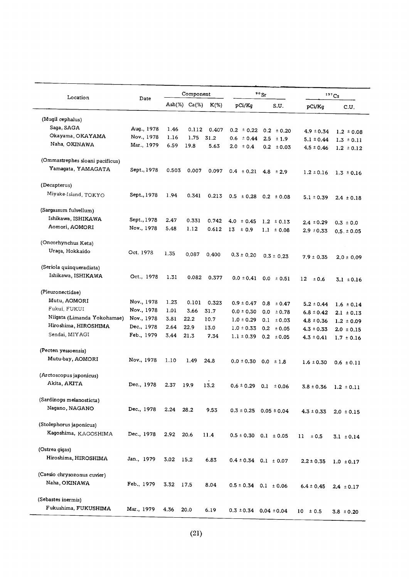| Location                        | Date        |       | Component            |         |                | $90$ Sr                        |                                  | 137Cs           |
|---------------------------------|-------------|-------|----------------------|---------|----------------|--------------------------------|----------------------------------|-----------------|
|                                 |             |       | Ash $(\%)$ Ca $(\%)$ | $K(\%)$ | pCi/Kg         | S.U.                           | pCi/Kq                           | C.U.            |
| (Mugil cephalus)                |             |       |                      |         |                |                                |                                  |                 |
| Saga, SAGA                      | Aug., 1978  | 1.46  | 0.112                | 0.407   | $0.2 \pm 0.22$ | $0.2 \pm 0.20$                 | $4.9 \pm 0.34$                   | $1.2 \pm 0.08$  |
| Okayama, OKAYAMA                | Nov., 1978  | 1.16  | 1.75                 | 31.2    | $0.6 \pm 0.44$ | $2.5 \pm 1.9$                  | $5.1 \pm 0.44$                   | $1.3 \pm 0.11$  |
| Naha, OKINAWA                   | Mar., 1979  | 6.59  | 19.8                 | 5.63    | $2.0 \pm 0.4$  | $0.2 \pm 0.03$                 | $4.5 \pm 0.46$                   | $1.2 \pm 0.12$  |
| (Ommastrephes sloani pacificus) |             |       |                      |         |                |                                |                                  |                 |
| Yamagata, YAMAGATA              | Sept., 1978 | 0.503 | 0.007                | 0.097   | $0.4 \pm 0.21$ | 4.8 $\pm 2.9$                  | $1.2 \pm 0.16$                   | $1.3 \pm 0.16$  |
| (Decapterus)                    |             |       |                      |         |                |                                |                                  |                 |
| Miyake-Island, TOKYO            | Sept., 1978 | 1.94  | 0.341                | 0.213   | $0.5 \pm 0.28$ | $0.2 \pm 0.08$                 | $5.1 \pm 0.39$                   | $2.4 \pm 0.18$  |
| (Sargassum fulvellum)           |             |       |                      |         |                |                                |                                  |                 |
| Ishikawa, ISHIKAWA              | Sept., 1978 | 2.47  | 0.331                | 0.742   | 4.0<br>± 0.45  | $1.2 \pm 0.13$                 |                                  |                 |
| Aomori, AOMORI                  | Nov., 1978  | 5.48  | 1.12                 | 0.612   | $13 \pm 0.9$   | $1.1 \pm 0.08$                 | $2.4 \pm 0.29$<br>$2.9 \pm 0.33$ | $0.3 \pm 0.0$   |
|                                 |             |       |                      |         |                |                                |                                  | $0.5. \pm 0.05$ |
| (Oncorhynchus Keta)             |             |       |                      |         |                |                                |                                  |                 |
| Uraga, Hokkaido                 | Oct. 1978   | 1.35  | 0.087                | 0,400   | $0.3 \pm 0.20$ | $0.3 \pm 0.23$                 |                                  |                 |
|                                 |             |       |                      |         |                |                                | $7.9 \pm 0.35$                   | $2.0 \pm 0.09$  |
| (Seriola quinqueradiata)        |             |       |                      |         |                |                                |                                  |                 |
| Ishikawa, ISHIKAWA              | Oct., 1978  | 1.31  | 0.082                | 0.377   | $0.0 \pm 0.41$ | $0.0 \pm 0.51$                 | $12 \,$<br>±0.6                  | $3.1 \pm 0.16$  |
| (Pleuronectidae)                |             |       |                      |         |                |                                |                                  |                 |
| Mutu, AOMORI                    | Nov., 1978  | 1.23  | 0.101                | 0.323   | $0.9 \pm 0.47$ | $0.8 \pm 0.47$                 | $5.2 \pm 0.44$                   | $1.6 \pm 0.14$  |
| Fukui, FUKUI                    | Nov., 1978  | 1.01  | 3.66                 | 31.7    | $0.0 \pm 0.30$ | 0.0 <sub>1</sub><br>±0.78      | $6.8 \pm 0.42$                   | $2.1 \pm 0.13$  |
| Niigata (Limanda Yokohamae)     | Nov., 1978  | 3.81  | 22.2                 | 10.7    | $1.0 \pm 0.29$ | 0.1<br>$\pm 0.03$              | $4.8 \pm 0.36$                   | $1.2 \pm 0.09$  |
| Hiroshima, HIROSHIMA            | Dec., 1978  | 2.64  | 22.9                 | 13.0    | $1.0 \pm 0.33$ | $0.2 \pm 0.05$                 | $4.3 \pm 0.33$                   | $2.0 \pm 0.15$  |
| Sendai, MIYAGI                  | Feb., 1979  | 3.44  | 21.3                 | 7.34    | $1.1 \pm 0.39$ | $0.2 \pm 0.05$                 | $4.3 \pm 0.41$                   | $1.7 \pm 0.16$  |
| (Pecten yessoensis)             |             |       |                      |         |                |                                |                                  |                 |
| Mutu-bay, AOMORI                | Nov., 1978  | 1.10  | 1.49                 | 24.8    | $0.0 \pm 0.30$ | $0.0 \pm 1.8$                  | $1.6 \pm 0.30$                   | $0.6 \pm 0.11$  |
| (Arctoscopus japonicus)         |             |       |                      |         |                |                                |                                  |                 |
| Akita, AKITA                    | Dec., 1978  | 2.37  | 19.9                 | 13.2    | $0.6 \pm 0.29$ | $0.1 \pm 0.06$                 | $3.8 \pm 0.36$                   | $1.2 \pm 0.11$  |
| (Sardinops melanosticta)        |             |       |                      |         |                |                                |                                  |                 |
| Nagano, NAGANO                  | Dec., 1978  | 2.24  | 28.2                 | 9.53    |                | $0.3 \pm 0.25$ 0.05 $\pm$ 0.04 | $4.3 \pm 0.33$                   | $2.0 \pm 0.15$  |
| (Stolephorus japonicus)         |             |       |                      |         |                |                                |                                  |                 |
| Kagoshima, KAGOSHIMA            | Dec., 1978  | 2.92  | 20.6                 | 11.4    |                | $0.5 \pm 0.30$ 0.1 $\pm 0.05$  | $11 \pm 0.5$                     | $3.1 \pm 0.14$  |
| (Ostrea gigas)                  |             |       |                      |         |                |                                |                                  |                 |
| Hiroshima, HIROSHIMA            | Jan., 1979  | 3.02  | 15.2                 | 6.83    |                | $0.4 \pm 0.34$ 0.1 $\pm$ 0.07  | $2.2 \pm 0.35$                   | $1.0 \pm 0.17$  |
| (Caesio chrysozonus cuvier)     |             |       |                      |         |                |                                |                                  |                 |
| Naha, OKINAWA                   | Feb., 1979  | 3.32  | 17.5                 | 8.04    |                | $0.5 \pm 0.34$ 0.1 $\pm$ 0.06  | $6.4 \pm 0.45$                   | $2.4 \pm 0.17$  |
| (Sebastes inermis)              |             |       |                      |         |                |                                |                                  |                 |
| Fukushima, FUKUSHIMA            | Mar., 1979  | 4.36  | 20.0                 | 6.19    |                | $0.3 \pm 0.34$ $0.04 \pm 0.04$ | $10 \pm 0.5$                     | $3.8 \pm 0.20$  |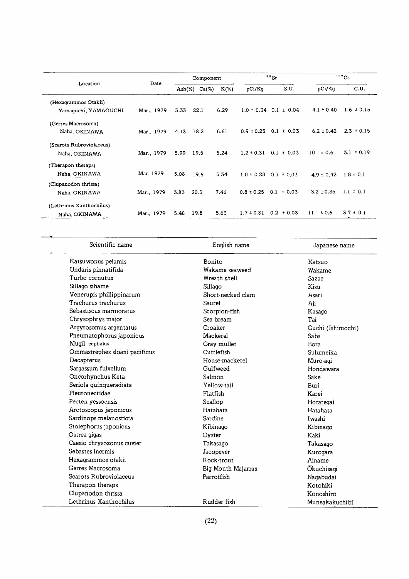|                          |            |                          | Component |         |                | $90$ Sr                       |                | 137Cs          |
|--------------------------|------------|--------------------------|-----------|---------|----------------|-------------------------------|----------------|----------------|
| Location                 | Date       | $\operatorname{Ash}(\%)$ | $Ca(\%)$  | $K(\%)$ | pCi/Kq         | S.U.                          | pCi/Kq         | C.U.           |
| (Hexagrammos Otakii)     |            |                          |           |         |                |                               |                |                |
| Yamaquchi, YAMAGUCHI     | Mar., 1979 | 3.33                     | 22.1      | 6.29    |                | $1.0 \pm 0.34$ 0.1 $\pm$ 0.04 | $4.1 \pm 0.40$ | $1.6 \pm 0.15$ |
| (Gerres Macrosoma)       |            |                          |           |         |                |                               |                |                |
| Naha, OKINAWA            | Mar., 1979 | 4.13                     | 18.2      | 6.61    | $0.9 \pm 0.25$ | $0.1 \pm 0.03$                | $6.2 \pm 0.42$ | $2.3 \pm 0.15$ |
| (Scarots Rubroviolaceus) |            |                          |           |         |                |                               |                |                |
| Naha, OKINAWA            | Mar., 1979 | 5.99                     | 19.5      | 5.24    | $1.2 \pm 0.31$ | $0.1 \pm 0.03$                | 10<br>± 0.6    | $3.1 \pm 0.19$ |
| (Therapon theraps)       |            |                          |           |         |                |                               |                |                |
| Naha, OKINAWA            | Mar. 1979  | 5.08                     | 19.6      | 5.34    | $1.0 \pm 0.28$ | $0.1 \pm 0.03$                | $4.9 \pm 0.42$ | $1.8 \pm 0.1$  |
| (Clupanodon thrissa)     |            |                          |           |         |                |                               |                |                |
| Naha, OKINAWA            | Mar., 1979 | 3.83                     | 20.3      | 7.46    | $0.8 \pm 0.25$ | 0.1<br>± 0.03                 | $3.2 \pm 0.35$ | $1.1 \pm 0.1$  |
| (Lethrinus Xanthochilus) |            |                          |           |         |                |                               |                |                |
| Naha, OKINAWA            | Mar., 1979 | 5.48                     | 19.8      | 5.63    | $1.7 \pm 0.31$ | $0.2 \pm 0.03$                | 11<br>±0.6     | $3.7 \pm 0.1$  |

| Scientific name               | English name       | Japanese name     |
|-------------------------------|--------------------|-------------------|
| Katsuwonus pelamis            | Bonito             | Katsuo            |
| Undaris pinnatifida           | Wakame seaweed     | Wakame            |
| Turbo cornutus                | Wreath shell       | Sazae             |
| Sillago sihame                | Sillago            | Kisu              |
| Venerupis phillippinarum      | Short-necked clam  | Asari             |
| Trachurus trachurus           | Saurel             | Aji               |
| Sebastiscus marmoratus        | Scorpion-fish      | Kasago            |
| Chrysophrys major             | Sea bream          | Tai               |
| Argyrosomus argentatus        | Croaker            | Guchi (Ishimochi) |
| Pneumatophorus japonicus      | Mackerel           | Saba              |
| Mugil cephalus                | Gray mullet        | Bora              |
| Ommastrephes sloani pacificus | Cuttlefish         | Sulumeika         |
| Decapterus                    | House-mackerel     | Muro-agi          |
| Sargassum fulvellum           | Gulfweed           | Hondawara         |
| Oncorhynchus Keta             | Salmon             | Sake              |
| Seriola quinqueradiata        | Yellow-tail        | Buri              |
| Pleuronectidae                | Flatfish           | Karei             |
| Pecten yessoensis             | Scallop            | Hotategai         |
| Arctoscopus japonicus         | Hatahata           | Hatahata          |
| Sardinops melanosticta        | Sardine            | Iwashi            |
| Stolephorus japonicus         | Kibinago           | Kibinago          |
| Ostrea gigas                  | Oyster             | Kaki              |
| Caesio chrysozonus cuvier     | Takasago           | Takasago          |
| Sebastes inermis              | Jacopever          | Kurogara          |
| Hexagrammos otakii            | Rock-trout         | Ainame            |
| Gerres Macrosoma              | Big Mouth Majarras | Okuchisagi        |
| Scarots Rubroviolaceus        | Parrotfish         | Nagabudai         |
| Therapon theraps              |                    | Kotohiki          |
| Clupanodon thrissa            |                    | Konoshiro         |
| Lethrinus Xanthochilus        | Rudder fish        | Muneakakuchibi    |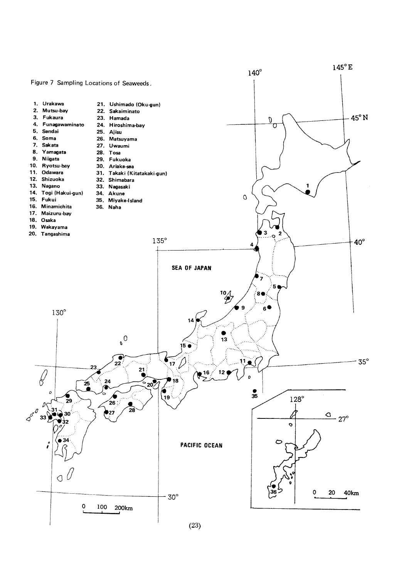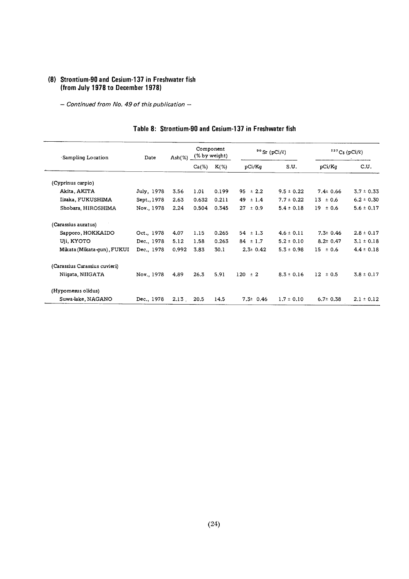#### (8) Strontium-90 and Cesium-137 in Freshwater fish (from July 1978 to December 1978)

- Continued from No. 49 of this publication -

| Sampling Location             | Date        | Ash $(\%)$ | Component<br>(% by weight) |         | $90$ Sr (pCi/ $\ell$ ) |                | $137Cs$ (pCi/2) |                |
|-------------------------------|-------------|------------|----------------------------|---------|------------------------|----------------|-----------------|----------------|
|                               |             |            | $Ca(\%)$                   | $K(\%)$ | pCi/Kq                 | S.U.           | pCi/Kq          | C.U.           |
| (Cyprinus carpio)             |             |            |                            |         |                        |                |                 |                |
| Akita, AKITA                  | July, 1978  | 3.56       | 1.01                       | 0.199   | ± 2.2<br>95            | $9.5 \pm 0.22$ | $7.4 \pm 0.66$  | $3.7 \pm 0.33$ |
| Iizaka, FUKUSHIMA             | Sept., 1978 | 2.63       | 0.632                      | 0.211   | ±1.4<br>49             | $7.7 \pm 0.22$ | $13 \pm 0.6$    | $6.2 \pm 0.30$ |
| Shobara, HIROSHIMA            | Nov., 1978  | 2.24       | 0.504                      | 0.345   | 27<br>± 0.9            | $5.4 \pm 0.18$ | 19.<br>± 0.6    | $5.6 \pm 0.17$ |
| (Carassius auratus)           |             |            |                            |         |                        |                |                 |                |
| Sapporo, HOKKAIDO             | Oct., 1978  | 4.07       | 1.15                       | 0.265   | $54 \pm 1.3$           | $4.6 \pm 0.11$ | $7.3 \pm 0.46$  | $2.8 \pm 0.17$ |
| Uji, KYOTO                    | Dec., 1978  | 5.12       | 1.58                       | 0.263   | $84 \pm 1.7$           | $5.2 \pm 0.10$ | $8.2 \pm 0.47$  | $3.1 \pm 0.18$ |
| Mikata (Mikata-gun), FUKUI    | Dec., 1978  | 0.992      | 3.83                       | 30.1    | $2.3 \pm 0.42$         | $5.3 \pm 0.98$ | $15 \pm 0.6$    | $4.4 \pm 0.18$ |
| (Carassius Carassius cuvieri) |             |            |                            |         |                        |                |                 |                |
| Niigata, NIIGATA              | Nov., 1978  | 4.89       | 26.3                       | 5.91    | 120<br>$\pm 2$         | $8.3 \pm 0.16$ | $12 \pm 0.5$    | $3.8 \pm 0.17$ |
| (Hypomesus olidus)            |             |            |                            |         |                        |                |                 |                |
| Suwa-lake, NAGANO             | Dec., 1978  | 2.13       | 20.5                       | 14.5    | $7.3 \pm 0.46$         | $1.7 \pm 0.10$ | $6.7 \pm 0.38$  | $2.1 \pm 0.12$ |

#### Table 8: Strontium-90 and Cesium-137 in Freshwater fish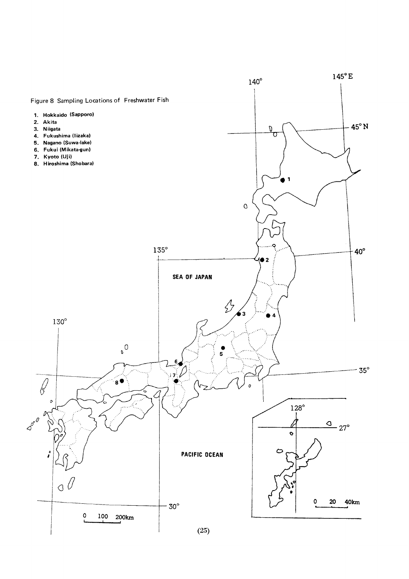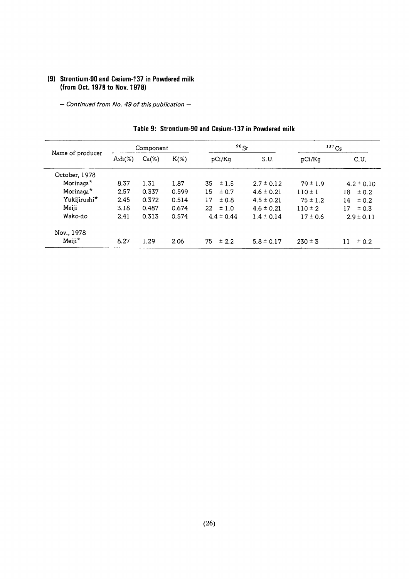### (9) Strontium-90 and Cesium-137 in Powdered milk (from Oct. 1978 to Nov. 1978)

- Continued from No. 49 of this publication -

|                       |                  | Component |         | $90$ Sr        |                | $137$ Cs     |                |
|-----------------------|------------------|-----------|---------|----------------|----------------|--------------|----------------|
| Name of producer      | $\text{Ash}(\%)$ | $Ca(\%)$  | $K(\%)$ | pCi/Kq         | S.U.           | pCi/Kq       | C.U.           |
| October, 1978         |                  |           |         |                |                |              |                |
| Morinaga*             | 8.37             | 1.31      | 1.87    | 35<br>±1.5     | $2.7 \pm 0.12$ | $79 \pm 1.9$ | $4.2 \pm 0.10$ |
| Morinaga <sup>*</sup> | 2.57             | 0.337     | 0.599   | 15<br>± 0.7    | $4.6 \pm 0.21$ | $110 \pm 1$  | ± 0.2<br>18.   |
| Yukijirushi*          | 2.45             | 0.372     | 0.514   | 17<br>±0.8     | $4.5 \pm 0.21$ | $75 \pm 1.2$ | 14<br>± 0.2    |
| Meiji                 | 3.18             | 0.487     | 0.674   | $22 \pm 1.0$   | $4.6 \pm 0.21$ | $110 \pm 2$  | ± 0.3<br>17    |
| Wako-do               | 2.41             | 0.313     | 0.574   | $4.4 \pm 0.44$ | $1.4 \pm 0.14$ | $17 \pm 0.6$ | $2.9 \pm 0.11$ |
| Nov., 1978            |                  |           |         |                |                |              |                |
| Meiji*                | 8.27             | 1.29      | 2.06    | 75<br>± 2.2    | $5.8 \pm 0.17$ | $230 \pm 3$  | ± 0.2          |

#### Table 9: Strontium-90 and Cesium-137 in Powdered milk